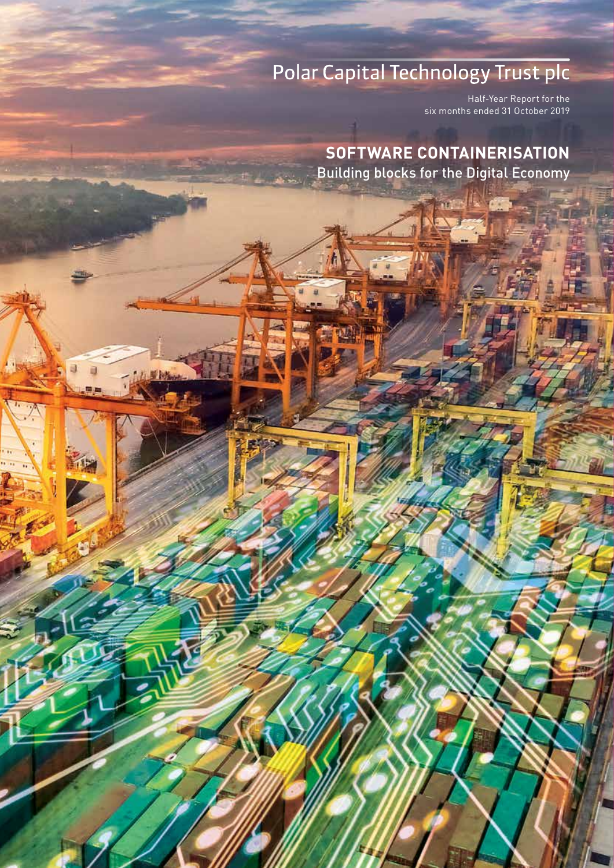# Polar Capital Technology Trust plc

Half-Year Report for the six months ended 31 October 2019

Overview

Manager's Report & Portfolio

Financial Statements

Shareholder Information

**SOFTWARE CONTAINERISATION** Building blocks for the Digital Economy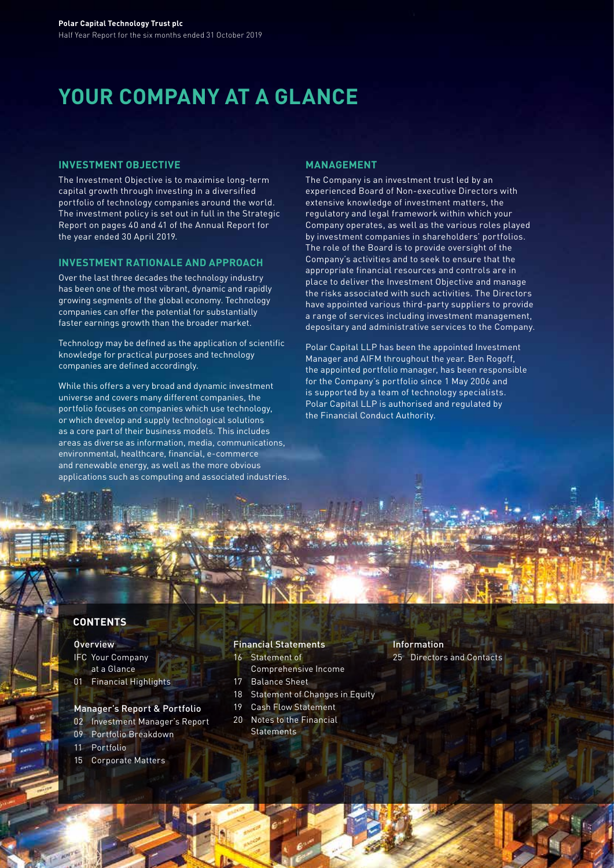# **YOUR COMPANY AT A GLANCE**

### **INVESTMENT OBJECTIVE**

The Investment Objective is to maximise long-term capital growth through investing in a diversified portfolio of technology companies around the world. The investment policy is set out in full in the Strategic Report on pages 40 and 41 of the Annual Report for the year ended 30 April 2019.

### **INVESTMENT RATIONALE AND APPROACH**

Over the last three decades the technology industry has been one of the most vibrant, dynamic and rapidly growing segments of the global economy. Technology companies can offer the potential for substantially faster earnings growth than the broader market.

Technology may be defined as the application of scientific knowledge for practical purposes and technology companies are defined accordingly.

While this offers a very broad and dynamic investment universe and covers many different companies, the portfolio focuses on companies which use technology, or which develop and supply technological solutions as a core part of their business models. This includes areas as diverse as information, media, communications, environmental, healthcare, financial, e-commerce and renewable energy, as well as the more obvious applications such as computing and associated industries.

#### **MANAGEMENT**

The Company is an investment trust led by an experienced Board of Non-executive Directors with extensive knowledge of investment matters, the regulatory and legal framework within which your Company operates, as well as the various roles played by investment companies in shareholders' portfolios. The role of the Board is to provide oversight of the Company's activities and to seek to ensure that the appropriate financial resources and controls are in place to deliver the Investment Objective and manage the risks associated with such activities. The Directors have appointed various third-party suppliers to provide a range of services including investment management, depositary and administrative services to the Company.

Polar Capital LLP has been the appointed Investment Manager and AIFM throughout the year. Ben Rogoff, the appointed portfolio manager, has been responsible for the Company's portfolio since 1 May 2006 and is supported by a team of technology specialists. Polar Capital LLP is authorised and regulated by the Financial Conduct Authority.

## **CONTENTS**

### **Overview**

### IFC Your Company

- at a Glance
- 01 Financial Highlights

### Manager's Report & Portfolio

- 02 Investment Manager's Report
- 09 Portfolio Breakdown
- 11 Portfolio
- 15 Corporate Matters

#### Financial Statements

- 16 Statement of
- Comprehensive Income
- 17 Balance Sheet
- 18 Statement of Changes in Equity
- 19 Cash Flow Statement
- 20 Notes to the Financial **Statements**
- Information 25 Directors and Contacts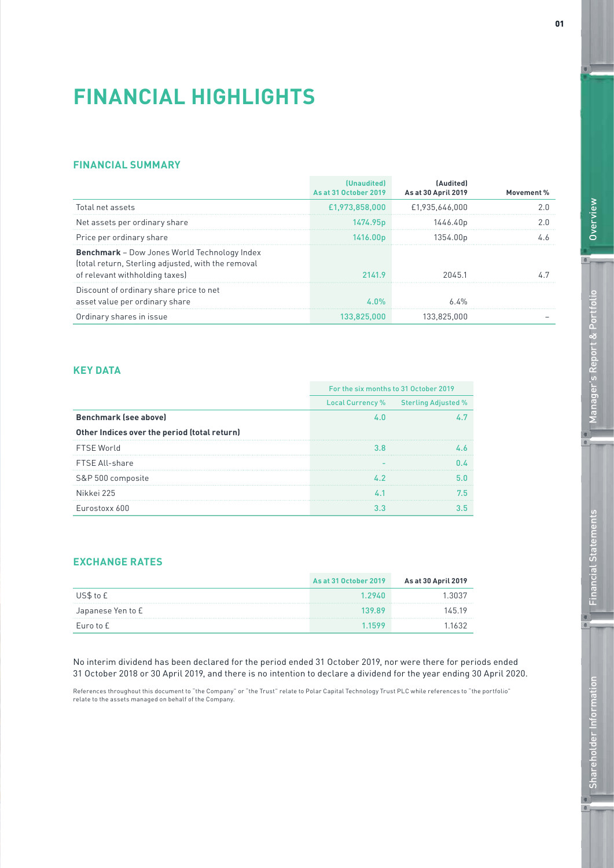# **FINANCIAL HIGHLIGHTS**

## **FINANCIAL SUMMARY**

|                                                                                                                                             | (Unaudited)<br>As at 31 October 2019 | [Audited]<br><b>As at 30 April 2019</b> | Movement % |
|---------------------------------------------------------------------------------------------------------------------------------------------|--------------------------------------|-----------------------------------------|------------|
| Total net assets                                                                                                                            | £1,973,858,000                       | £1.935.646.000                          |            |
| Net assets per ordinary share                                                                                                               | 1474.95 <sub>p</sub>                 | 1446.40p                                |            |
| Price per ordinary share                                                                                                                    | 1416.00 p                            | 1354.00 <sub>p</sub>                    |            |
| <b>Benchmark</b> – Dow Jones World Technology Index<br>(total return, Sterling adjusted, with the removal<br>of relevant withholding taxes) | 2141.9                               | 20451                                   |            |
| Discount of ordinary share price to net<br>asset value per ordinary share                                                                   | ፈ በ%                                 | 6 4%                                    |            |
| Ordinary shares in issue                                                                                                                    | 133.825.000                          | 133.825.000                             |            |

# **KEY DATA**

|                                              | For the six months to 31 October 2019 |                                      |
|----------------------------------------------|---------------------------------------|--------------------------------------|
|                                              |                                       | Local Currency % Sterling Adjusted % |
| <b>Benchmark (see above)</b>                 |                                       |                                      |
| Other Indices over the period (total return) |                                       |                                      |
| <b>FTSE World</b>                            |                                       |                                      |
| FTSE All-share                               |                                       |                                      |
| S&P 500 composite                            |                                       |                                      |
| Nikkei 225                                   |                                       |                                      |
| Eurostoxx 600                                |                                       |                                      |

# **EXCHANGE RATES**

|                   | As at 31 October 2019 | As at 30 April 2019 |
|-------------------|-----------------------|---------------------|
| US\$ to £         | 1 29.AN               |                     |
| Japanese Yen to £ | 130 80                | 14519               |
| Euro to £         |                       |                     |

No interim dividend has been declared for the period ended 31 October 2019, nor were there for periods ended 31 October 2018 or 30 April 2019, and there is no intention to declare a dividend for the year ending 30 April 2020.

References throughout this document to "the Company" or "the Trust" relate to Polar Capital Technology Trust PLC while references to "the portfolio" relate to the assets managed on behalf of the Company.

 $\frac{1}{2}$ 

 $\bullet$ 

 $^{\circ}$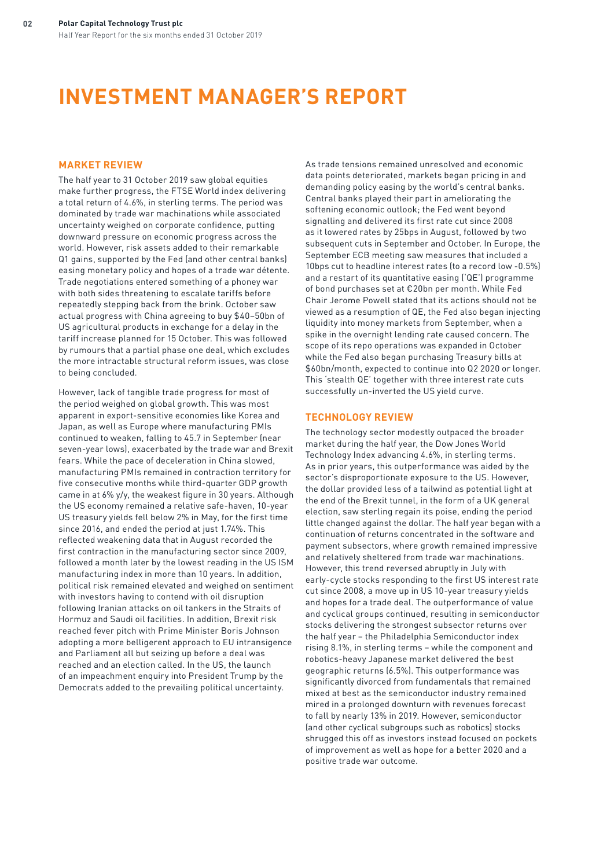# **INVESTMENT MANAGER'S REPORT**

### **MARKET REVIEW**

The half year to 31 October 2019 saw global equities make further progress, the FTSE World index delivering a total return of 4.6%, in sterling terms. The period was dominated by trade war machinations while associated uncertainty weighed on corporate confidence, putting downward pressure on economic progress across the world. However, risk assets added to their remarkable Q1 gains, supported by the Fed (and other central banks) easing monetary policy and hopes of a trade war détente. Trade negotiations entered something of a phoney war with both sides threatening to escalate tariffs before repeatedly stepping back from the brink. October saw actual progress with China agreeing to buy \$40–50bn of US agricultural products in exchange for a delay in the tariff increase planned for 15 October. This was followed by rumours that a partial phase one deal, which excludes the more intractable structural reform issues, was close to being concluded.

However, lack of tangible trade progress for most of the period weighed on global growth. This was most apparent in export-sensitive economies like Korea and Japan, as well as Europe where manufacturing PMIs continued to weaken, falling to 45.7 in September (near seven-year lows), exacerbated by the trade war and Brexit fears. While the pace of deceleration in China slowed, manufacturing PMIs remained in contraction territory for five consecutive months while third-quarter GDP growth came in at 6% y/y, the weakest figure in 30 years. Although the US economy remained a relative safe-haven, 10-year US treasury yields fell below 2% in May, for the first time since 2016, and ended the period at just 1.74%. This reflected weakening data that in August recorded the first contraction in the manufacturing sector since 2009, followed a month later by the lowest reading in the US ISM manufacturing index in more than 10 years. In addition, political risk remained elevated and weighed on sentiment with investors having to contend with oil disruption following Iranian attacks on oil tankers in the Straits of Hormuz and Saudi oil facilities. In addition, Brexit risk reached fever pitch with Prime Minister Boris Johnson adopting a more belligerent approach to EU intransigence and Parliament all but seizing up before a deal was reached and an election called. In the US, the launch of an impeachment enquiry into President Trump by the Democrats added to the prevailing political uncertainty.

As trade tensions remained unresolved and economic data points deteriorated, markets began pricing in and demanding policy easing by the world's central banks. Central banks played their part in ameliorating the softening economic outlook; the Fed went beyond signalling and delivered its first rate cut since 2008 as it lowered rates by 25bps in August, followed by two subsequent cuts in September and October. In Europe, the September ECB meeting saw measures that included a 10bps cut to headline interest rates (to a record low -0.5%) and a restart of its quantitative easing ('QE') programme of bond purchases set at €20bn per month. While Fed Chair Jerome Powell stated that its actions should not be viewed as a resumption of QE, the Fed also began injecting liquidity into money markets from September, when a spike in the overnight lending rate caused concern. The scope of its repo operations was expanded in October while the Fed also began purchasing Treasury bills at \$60bn/month, expected to continue into Q2 2020 or longer. This 'stealth QE' together with three interest rate cuts successfully un-inverted the US yield curve.

### **TECHNOLOGY REVIEW**

The technology sector modestly outpaced the broader market during the half year, the Dow Jones World Technology Index advancing 4.6%, in sterling terms. As in prior years, this outperformance was aided by the sector's disproportionate exposure to the US. However, the dollar provided less of a tailwind as potential light at the end of the Brexit tunnel, in the form of a UK general election, saw sterling regain its poise, ending the period little changed against the dollar. The half year began with a continuation of returns concentrated in the software and payment subsectors, where growth remained impressive and relatively sheltered from trade war machinations. However, this trend reversed abruptly in July with early-cycle stocks responding to the first US interest rate cut since 2008, a move up in US 10-year treasury yields and hopes for a trade deal. The outperformance of value and cyclical groups continued, resulting in semiconductor stocks delivering the strongest subsector returns over the half year – the Philadelphia Semiconductor index rising 8.1%, in sterling terms – while the component and robotics-heavy Japanese market delivered the best geographic returns (6.5%). This outperformance was significantly divorced from fundamentals that remained mixed at best as the semiconductor industry remained mired in a prolonged downturn with revenues forecast to fall by nearly 13% in 2019. However, semiconductor (and other cyclical subgroups such as robotics) stocks shrugged this off as investors instead focused on pockets of improvement as well as hope for a better 2020 and a positive trade war outcome.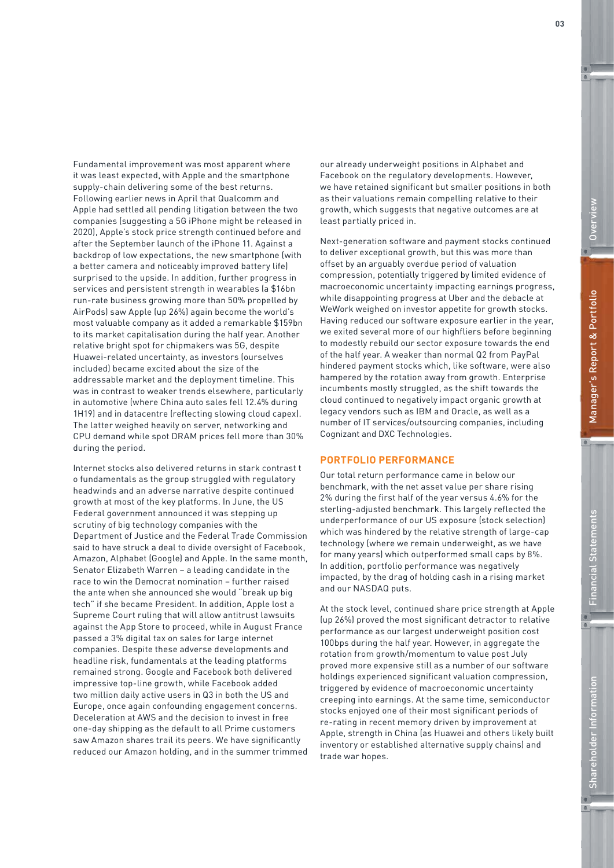Fundamental improvement was most apparent where it was least expected, with Apple and the smartphone supply-chain delivering some of the best returns. Following earlier news in April that Qualcomm and Apple had settled all pending litigation between the two companies (suggesting a 5G iPhone might be released in 2020), Apple's stock price strength continued before and after the September launch of the iPhone 11. Against a backdrop of low expectations, the new smartphone (with a better camera and noticeably improved battery life) surprised to the upside. In addition, further progress in services and persistent strength in wearables (a \$16bn run-rate business growing more than 50% propelled by AirPods) saw Apple (up 26%) again become the world's most valuable company as it added a remarkable \$159bn to its market capitalisation during the half year. Another relative bright spot for chipmakers was 5G, despite Huawei-related uncertainty, as investors (ourselves included) became excited about the size of the addressable market and the deployment timeline. This was in contrast to weaker trends elsewhere, particularly in automotive (where China auto sales fell 12.4% during 1H19) and in datacentre (reflecting slowing cloud capex). The latter weighed heavily on server, networking and CPU demand while spot DRAM prices fell more than 30% during the period.

Internet stocks also delivered returns in stark contrast t o fundamentals as the group struggled with regulatory headwinds and an adverse narrative despite continued growth at most of the key platforms. In June, the US Federal government announced it was stepping up scrutiny of big technology companies with the Department of Justice and the Federal Trade Commission said to have struck a deal to divide oversight of Facebook, Amazon, Alphabet (Google) and Apple. In the same month, Senator Elizabeth Warren – a leading candidate in the race to win the Democrat nomination – further raised the ante when she announced she would "break up big tech" if she became President. In addition, Apple lost a Supreme Court ruling that will allow antitrust lawsuits against the App Store to proceed, while in August France passed a 3% digital tax on sales for large internet companies. Despite these adverse developments and headline risk, fundamentals at the leading platforms remained strong. Google and Facebook both delivered impressive top-line growth, while Facebook added two million daily active users in Q3 in both the US and Europe, once again confounding engagement concerns. Deceleration at AWS and the decision to invest in free one-day shipping as the default to all Prime customers saw Amazon shares trail its peers. We have significantly reduced our Amazon holding, and in the summer trimmed

our already underweight positions in Alphabet and Facebook on the regulatory developments. However, we have retained significant but smaller positions in both as their valuations remain compelling relative to their growth, which suggests that negative outcomes are at least partially priced in.

Next-generation software and payment stocks continued to deliver exceptional growth, but this was more than offset by an arguably overdue period of valuation compression, potentially triggered by limited evidence of macroeconomic uncertainty impacting earnings progress, while disappointing progress at Uber and the debacle at WeWork weighed on investor appetite for growth stocks. Having reduced our software exposure earlier in the year, we exited several more of our highfliers before beginning to modestly rebuild our sector exposure towards the end of the half year. A weaker than normal Q2 from PayPal hindered payment stocks which, like software, were also hampered by the rotation away from growth. Enterprise incumbents mostly struggled, as the shift towards the cloud continued to negatively impact organic growth at legacy vendors such as IBM and Oracle, as well as a number of IT services/outsourcing companies, including Cognizant and DXC Technologies.

### **PORTFOLIO PERFORMANCE**

Our total return performance came in below our benchmark, with the net asset value per share rising 2% during the first half of the year versus 4.6% for the sterling-adjusted benchmark. This largely reflected the underperformance of our US exposure (stock selection) which was hindered by the relative strength of large-cap technology (where we remain underweight, as we have for many years) which outperformed small caps by 8%. In addition, portfolio performance was negatively impacted, by the drag of holding cash in a rising market and our NASDAQ puts.

At the stock level, continued share price strength at Apple (up 26%) proved the most significant detractor to relative performance as our largest underweight position cost 100bps during the half year. However, in aggregate the rotation from growth/momentum to value post July proved more expensive still as a number of our software holdings experienced significant valuation compression, triggered by evidence of macroeconomic uncertainty creeping into earnings. At the same time, semiconductor stocks enjoyed one of their most significant periods of re-rating in recent memory driven by improvement at Apple, strength in China (as Huawei and others likely built inventory or established alternative supply chains) and trade war hopes.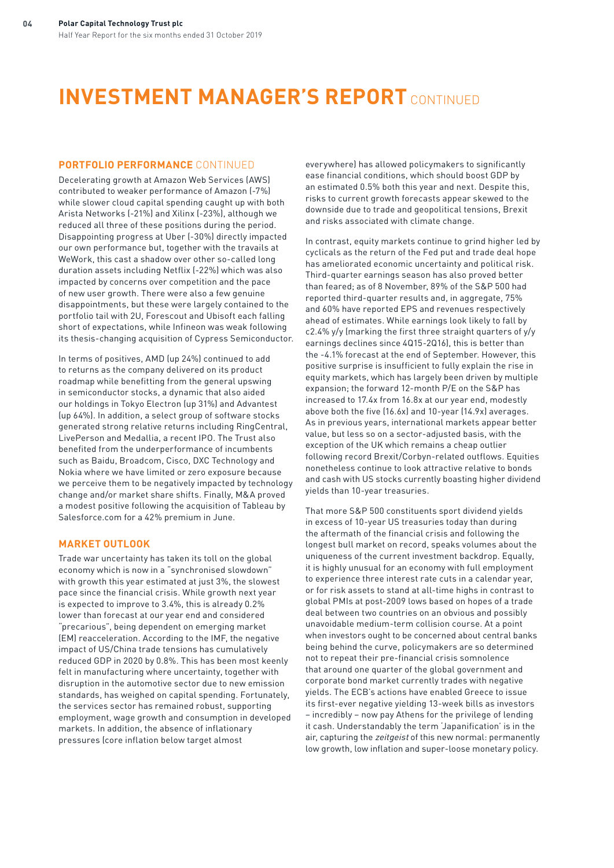# **INVESTMENT MANAGER'S REPORT** CONTINUED

### **PORTFOLIO PERFORMANCE** CONTINUED

Decelerating growth at Amazon Web Services (AWS) contributed to weaker performance of Amazon (-7%) while slower cloud capital spending caught up with both Arista Networks (-21%) and Xilinx (-23%), although we reduced all three of these positions during the period. Disappointing progress at Uber (-30%) directly impacted our own performance but, together with the travails at WeWork, this cast a shadow over other so-called long duration assets including Netflix (-22%) which was also impacted by concerns over competition and the pace of new user growth. There were also a few genuine disappointments, but these were largely contained to the portfolio tail with 2U, Forescout and Ubisoft each falling short of expectations, while Infineon was weak following its thesis-changing acquisition of Cypress Semiconductor.

In terms of positives, AMD (up 24%) continued to add to returns as the company delivered on its product roadmap while benefitting from the general upswing in semiconductor stocks, a dynamic that also aided our holdings in Tokyo Electron (up 31%) and Advantest (up 64%). In addition, a select group of software stocks generated strong relative returns including RingCentral, LivePerson and Medallia, a recent IPO. The Trust also benefited from the underperformance of incumbents such as Baidu, Broadcom, Cisco, DXC Technology and Nokia where we have limited or zero exposure because we perceive them to be negatively impacted by technology change and/or market share shifts. Finally, M&A proved a modest positive following the acquisition of Tableau by Salesforce.com for a 42% premium in June.

### **MARKET OUTLOOK**

Trade war uncertainty has taken its toll on the global economy which is now in a "synchronised slowdown" with growth this year estimated at just 3%, the slowest pace since the financial crisis. While growth next year is expected to improve to 3.4%, this is already 0.2% lower than forecast at our year end and considered "precarious", being dependent on emerging market (EM) reacceleration. According to the IMF, the negative impact of US/China trade tensions has cumulatively reduced GDP in 2020 by 0.8%. This has been most keenly felt in manufacturing where uncertainty, together with disruption in the automotive sector due to new emission standards, has weighed on capital spending. Fortunately, the services sector has remained robust, supporting employment, wage growth and consumption in developed markets. In addition, the absence of inflationary pressures (core inflation below target almost

everywhere) has allowed policymakers to significantly ease financial conditions, which should boost GDP by an estimated 0.5% both this year and next. Despite this, risks to current growth forecasts appear skewed to the downside due to trade and geopolitical tensions, Brexit and risks associated with climate change.

In contrast, equity markets continue to grind higher led by cyclicals as the return of the Fed put and trade deal hope has ameliorated economic uncertainty and political risk. Third-quarter earnings season has also proved better than feared; as of 8 November, 89% of the S&P 500 had reported third-quarter results and, in aggregate, 75% and 60% have reported EPS and revenues respectively ahead of estimates. While earnings look likely to fall by c2.4% y/y (marking the first three straight quarters of y/y earnings declines since 4Q15-2Q16), this is better than the -4.1% forecast at the end of September. However, this positive surprise is insufficient to fully explain the rise in equity markets, which has largely been driven by multiple expansion; the forward 12-month P/E on the S&P has increased to 17.4x from 16.8x at our year end, modestly above both the five (16.6x) and 10-year (14.9x) averages. As in previous years, international markets appear better value, but less so on a sector-adjusted basis, with the exception of the UK which remains a cheap outlier following record Brexit/Corbyn-related outflows. Equities nonetheless continue to look attractive relative to bonds and cash with US stocks currently boasting higher dividend yields than 10-year treasuries.

That more S&P 500 constituents sport dividend yields in excess of 10-year US treasuries today than during the aftermath of the financial crisis and following the longest bull market on record, speaks volumes about the uniqueness of the current investment backdrop. Equally, it is highly unusual for an economy with full employment to experience three interest rate cuts in a calendar year, or for risk assets to stand at all-time highs in contrast to global PMIs at post-2009 lows based on hopes of a trade deal between two countries on an obvious and possibly unavoidable medium-term collision course. At a point when investors ought to be concerned about central banks being behind the curve, policymakers are so determined not to repeat their pre-financial crisis somnolence that around one quarter of the global government and corporate bond market currently trades with negative yields. The ECB's actions have enabled Greece to issue its first-ever negative yielding 13-week bills as investors – incredibly – now pay Athens for the privilege of lending it cash. Understandably the term 'Japanification' is in the air, capturing the *zeitgeist* of this new normal: permanently low growth, low inflation and super-loose monetary policy.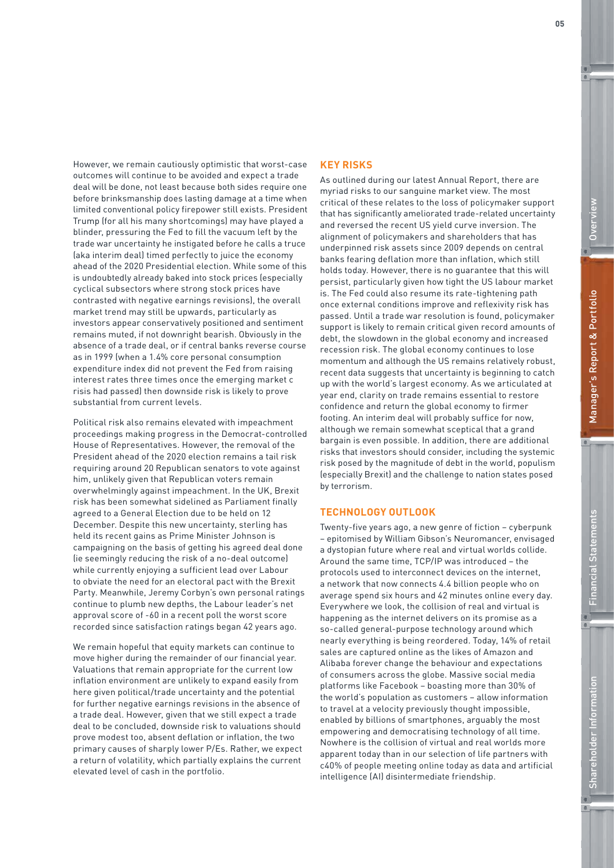However, we remain cautiously optimistic that worst-case outcomes will continue to be avoided and expect a trade deal will be done, not least because both sides require one before brinksmanship does lasting damage at a time when limited conventional policy firepower still exists. President Trump (for all his many shortcomings) may have played a blinder, pressuring the Fed to fill the vacuum left by the trade war uncertainty he instigated before he calls a truce (aka interim deal) timed perfectly to juice the economy ahead of the 2020 Presidential election. While some of this is undoubtedly already baked into stock prices (especially cyclical subsectors where strong stock prices have contrasted with negative earnings revisions), the overall market trend may still be upwards, particularly as investors appear conservatively positioned and sentiment remains muted, if not downright bearish. Obviously in the absence of a trade deal, or if central banks reverse course as in 1999 (when a 1.4% core personal consumption expenditure index did not prevent the Fed from raising interest rates three times once the emerging market c risis had passed) then downside risk is likely to prove substantial from current levels.

Political risk also remains elevated with impeachment proceedings making progress in the Democrat-controlled House of Representatives. However, the removal of the President ahead of the 2020 election remains a tail risk requiring around 20 Republican senators to vote against him, unlikely given that Republican voters remain overwhelmingly against impeachment. In the UK, Brexit risk has been somewhat sidelined as Parliament finally agreed to a General Election due to be held on 12 December. Despite this new uncertainty, sterling has held its recent gains as Prime Minister Johnson is campaigning on the basis of getting his agreed deal done (ie seemingly reducing the risk of a no-deal outcome) while currently enjoying a sufficient lead over Labour to obviate the need for an electoral pact with the Brexit Party. Meanwhile, Jeremy Corbyn's own personal ratings continue to plumb new depths, the Labour leader's net approval score of -60 in a recent poll the worst score recorded since satisfaction ratings began 42 years ago.

We remain hopeful that equity markets can continue to move higher during the remainder of our financial year. Valuations that remain appropriate for the current low inflation environment are unlikely to expand easily from here given political/trade uncertainty and the potential for further negative earnings revisions in the absence of a trade deal. However, given that we still expect a trade deal to be concluded, downside risk to valuations should prove modest too, absent deflation or inflation, the two primary causes of sharply lower P/Es. Rather, we expect a return of volatility, which partially explains the current elevated level of cash in the portfolio.

### **KEY RISKS**

As outlined during our latest Annual Report, there are myriad risks to our sanguine market view. The most critical of these relates to the loss of policymaker support that has significantly ameliorated trade-related uncertainty and reversed the recent US yield curve inversion. The alignment of policymakers and shareholders that has underpinned risk assets since 2009 depends on central banks fearing deflation more than inflation, which still holds today. However, there is no guarantee that this will persist, particularly given how tight the US labour market is. The Fed could also resume its rate-tightening path once external conditions improve and reflexivity risk has passed. Until a trade war resolution is found, policymaker support is likely to remain critical given record amounts of debt, the slowdown in the global economy and increased recession risk. The global economy continues to lose momentum and although the US remains relatively robust, recent data suggests that uncertainty is beginning to catch up with the world's largest economy. As we articulated at year end, clarity on trade remains essential to restore confidence and return the global economy to firmer footing. An interim deal will probably suffice for now, although we remain somewhat sceptical that a grand bargain is even possible. In addition, there are additional risks that investors should consider, including the systemic risk posed by the magnitude of debt in the world, populism (especially Brexit) and the challenge to nation states posed by terrorism.

### **TECHNOLOGY OUTLOOK**

Twenty-five years ago, a new genre of fiction – cyberpunk – epitomised by William Gibson's Neuromancer, envisaged a dystopian future where real and virtual worlds collide. Around the same time, TCP/IP was introduced – the protocols used to interconnect devices on the internet, a network that now connects 4.4 billion people who on average spend six hours and 42 minutes online every day. Everywhere we look, the collision of real and virtual is happening as the internet delivers on its promise as a so-called general-purpose technology around which nearly everything is being reordered. Today, 14% of retail sales are captured online as the likes of Amazon and Alibaba forever change the behaviour and expectations of consumers across the globe. Massive social media platforms like Facebook – boasting more than 30% of the world's population as customers – allow information to travel at a velocity previously thought impossible, enabled by billions of smartphones, arguably the most empowering and democratising technology of all time. Nowhere is the collision of virtual and real worlds more apparent today than in our selection of life partners with c40% of people meeting online today as data and artificial intelligence (AI) disintermediate friendship.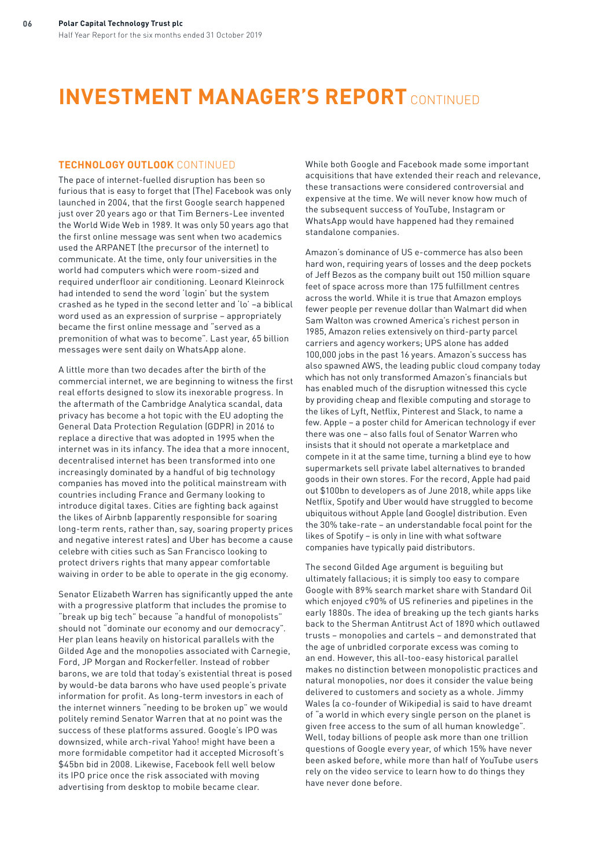# **INVESTMENT MANAGER'S REPORT** CONTINUED

### **TECHNOLOGY OUTLOOK** CONTINUED

The pace of internet-fuelled disruption has been so furious that is easy to forget that (The) Facebook was only launched in 2004, that the first Google search happened just over 20 years ago or that Tim Berners-Lee invented the World Wide Web in 1989. It was only 50 years ago that the first online message was sent when two academics used the ARPANET (the precursor of the internet) to communicate. At the time, only four universities in the world had computers which were room-sized and required underfloor air conditioning. Leonard Kleinrock had intended to send the word 'login' but the system crashed as he typed in the second letter and 'lo' –a biblical word used as an expression of surprise – appropriately became the first online message and "served as a premonition of what was to become". Last year, 65 billion messages were sent daily on WhatsApp alone.

A little more than two decades after the birth of the commercial internet, we are beginning to witness the first real efforts designed to slow its inexorable progress. In the aftermath of the Cambridge Analytica scandal, data privacy has become a hot topic with the EU adopting the General Data Protection Regulation (GDPR) in 2016 to replace a directive that was adopted in 1995 when the internet was in its infancy. The idea that a more innocent, decentralised internet has been transformed into one increasingly dominated by a handful of big technology companies has moved into the political mainstream with countries including France and Germany looking to introduce digital taxes. Cities are fighting back against the likes of Airbnb (apparently responsible for soaring long-term rents, rather than, say, soaring property prices and negative interest rates) and Uber has become a cause celebre with cities such as San Francisco looking to protect drivers rights that many appear comfortable waiving in order to be able to operate in the gig economy.

Senator Elizabeth Warren has significantly upped the ante with a progressive platform that includes the promise to "break up big tech" because "a handful of monopolists" should not "dominate our economy and our democracy". Her plan leans heavily on historical parallels with the Gilded Age and the monopolies associated with Carnegie, Ford, JP Morgan and Rockerfeller. Instead of robber barons, we are told that today's existential threat is posed by would-be data barons who have used people's private information for profit. As long-term investors in each of the internet winners "needing to be broken up" we would politely remind Senator Warren that at no point was the success of these platforms assured. Google's IPO was downsized, while arch-rival Yahoo! might have been a more formidable competitor had it accepted Microsoft's \$45bn bid in 2008. Likewise, Facebook fell well below its IPO price once the risk associated with moving advertising from desktop to mobile became clear.

While both Google and Facebook made some important acquisitions that have extended their reach and relevance, these transactions were considered controversial and expensive at the time. We will never know how much of the subsequent success of YouTube, Instagram or WhatsApp would have happened had they remained standalone companies.

Amazon's dominance of US e-commerce has also been hard won, requiring years of losses and the deep pockets of Jeff Bezos as the company built out 150 million square feet of space across more than 175 fulfillment centres across the world. While it is true that Amazon employs fewer people per revenue dollar than Walmart did when Sam Walton was crowned America's richest person in 1985, Amazon relies extensively on third-party parcel carriers and agency workers; UPS alone has added 100,000 jobs in the past 16 years. Amazon's success has also spawned AWS, the leading public cloud company today which has not only transformed Amazon's financials but has enabled much of the disruption witnessed this cycle by providing cheap and flexible computing and storage to the likes of Lyft, Netflix, Pinterest and Slack, to name a few. Apple – a poster child for American technology if ever there was one – also falls foul of Senator Warren who insists that it should not operate a marketplace and compete in it at the same time, turning a blind eye to how supermarkets sell private label alternatives to branded goods in their own stores. For the record, Apple had paid out \$100bn to developers as of June 2018, while apps like Netflix, Spotify and Uber would have struggled to become ubiquitous without Apple (and Google) distribution. Even the 30% take-rate – an understandable focal point for the likes of Spotify – is only in line with what software companies have typically paid distributors.

The second Gilded Age argument is beguiling but ultimately fallacious; it is simply too easy to compare Google with 89% search market share with Standard Oil which enjoyed c90% of US refineries and pipelines in the early 1880s. The idea of breaking up the tech giants harks back to the Sherman Antitrust Act of 1890 which outlawed trusts – monopolies and cartels – and demonstrated that the age of unbridled corporate excess was coming to an end. However, this all-too-easy historical parallel makes no distinction between monopolistic practices and natural monopolies, nor does it consider the value being delivered to customers and society as a whole. Jimmy Wales (a co-founder of Wikipedia) is said to have dreamt of "a world in which every single person on the planet is given free access to the sum of all human knowledge". Well, today billions of people ask more than one trillion questions of Google every year, of which 15% have never been asked before, while more than half of YouTube users rely on the video service to learn how to do things they have never done before.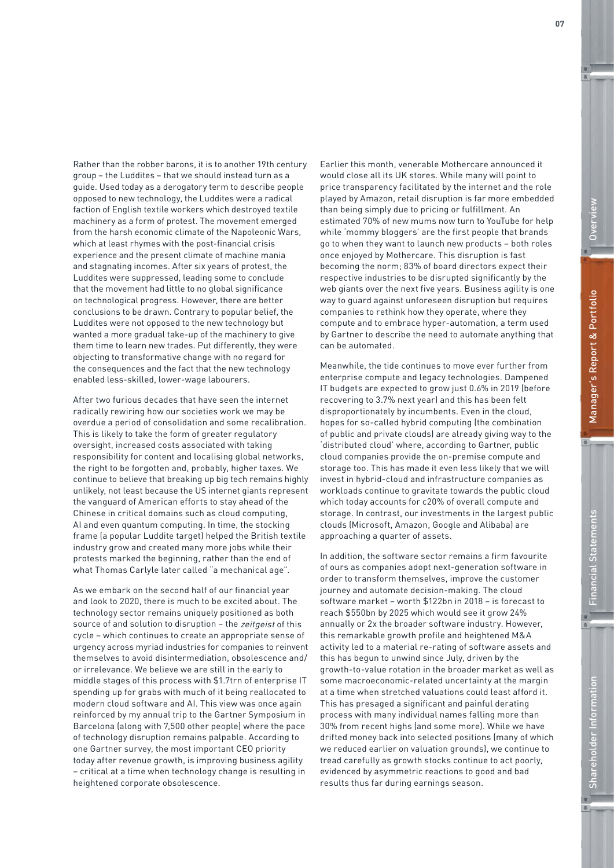Rather than the robber barons, it is to another 19th century group – the Luddites – that we should instead turn as a guide. Used today as a derogatory term to describe people opposed to new technology, the Luddites were a radical faction of English textile workers which destroyed textile machinery as a form of protest. The movement emerged from the harsh economic climate of the Napoleonic Wars, which at least rhymes with the post-financial crisis experience and the present climate of machine mania and stagnating incomes. After six years of protest, the Luddites were suppressed, leading some to conclude that the movement had little to no global significance on technological progress. However, there are better conclusions to be drawn. Contrary to popular belief, the Luddites were not opposed to the new technology but wanted a more gradual take-up of the machinery to give them time to learn new trades. Put differently, they were objecting to transformative change with no regard for the consequences and the fact that the new technology enabled less-skilled, lower-wage labourers.

After two furious decades that have seen the internet radically rewiring how our societies work we may be overdue a period of consolidation and some recalibration. This is likely to take the form of greater regulatory oversight, increased costs associated with taking responsibility for content and localising global networks, the right to be forgotten and, probably, higher taxes. We continue to believe that breaking up big tech remains highly unlikely, not least because the US internet giants represent the vanguard of American efforts to stay ahead of the Chinese in critical domains such as cloud computing, AI and even quantum computing. In time, the stocking frame (a popular Luddite target) helped the British textile industry grow and created many more jobs while their protests marked the beginning, rather than the end of what Thomas Carlyle later called "a mechanical age".

As we embark on the second half of our financial year and look to 2020, there is much to be excited about. The technology sector remains uniquely positioned as both source of and solution to disruption - the zeitgeist of this cycle – which continues to create an appropriate sense of urgency across myriad industries for companies to reinvent themselves to avoid disintermediation, obsolescence and/ or irrelevance. We believe we are still in the early to middle stages of this process with \$1.7trn of enterprise IT spending up for grabs with much of it being reallocated to modern cloud software and AI. This view was once again reinforced by my annual trip to the Gartner Symposium in Barcelona (along with 7,500 other people) where the pace of technology disruption remains palpable. According to one Gartner survey, the most important CEO priority today after revenue growth, is improving business agility – critical at a time when technology change is resulting in heightened corporate obsolescence.

Earlier this month, venerable Mothercare announced it would close all its UK stores. While many will point to price transparency facilitated by the internet and the role played by Amazon, retail disruption is far more embedded than being simply due to pricing or fulfillment. An estimated 70% of new mums now turn to YouTube for help while 'mommy bloggers' are the first people that brands go to when they want to launch new products – both roles once enjoyed by Mothercare. This disruption is fast becoming the norm; 83% of board directors expect their respective industries to be disrupted significantly by the web giants over the next five years. Business agility is one way to guard against unforeseen disruption but requires companies to rethink how they operate, where they compute and to embrace hyper-automation, a term used by Gartner to describe the need to automate anything that can be automated.

Meanwhile, the tide continues to move ever further from enterprise compute and legacy technologies. Dampened IT budgets are expected to grow just 0.6% in 2019 (before recovering to 3.7% next year) and this has been felt disproportionately by incumbents. Even in the cloud, hopes for so-called hybrid computing (the combination of public and private clouds) are already giving way to the 'distributed cloud' where, according to Gartner, public cloud companies provide the on-premise compute and storage too. This has made it even less likely that we will invest in hybrid-cloud and infrastructure companies as workloads continue to gravitate towards the public cloud which today accounts for c20% of overall compute and storage. In contrast, our investments in the largest public clouds (Microsoft, Amazon, Google and Alibaba) are approaching a quarter of assets.

In addition, the software sector remains a firm favourite of ours as companies adopt next-generation software in order to transform themselves, improve the customer journey and automate decision-making. The cloud software market – worth \$122bn in 2018 – is forecast to reach \$550bn by 2025 which would see it grow 24% annually or 2x the broader software industry. However, this remarkable growth profile and heightened M&A activity led to a material re-rating of software assets and this has begun to unwind since July, driven by the growth-to-value rotation in the broader market as well as some macroeconomic-related uncertainty at the margin at a time when stretched valuations could least afford it. This has presaged a significant and painful derating process with many individual names falling more than 30% from recent highs (and some more). While we have drifted money back into selected positions (many of which we reduced earlier on valuation grounds), we continue to tread carefully as growth stocks continue to act poorly, evidenced by asymmetric reactions to good and bad results thus far during earnings season.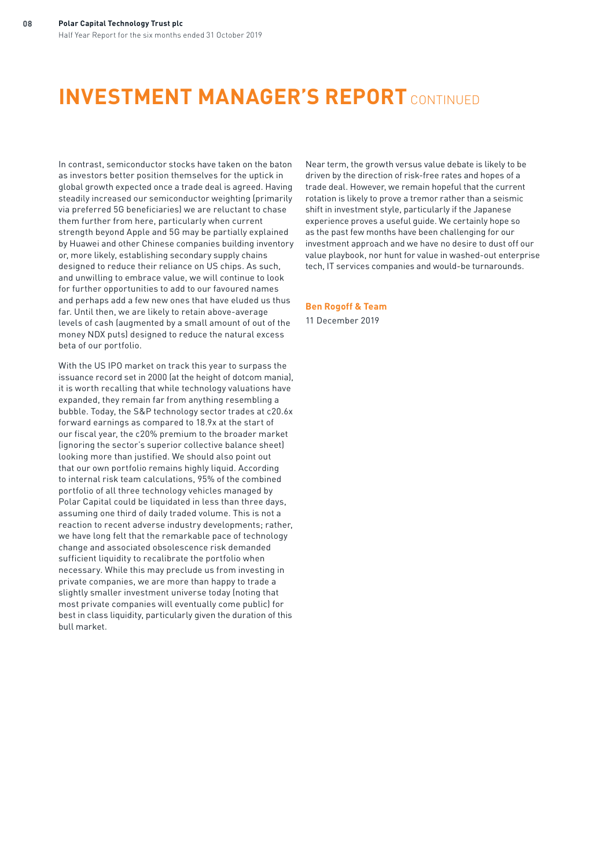# **INVESTMENT MANAGER'S REPORT** CONTINUED

In contrast, semiconductor stocks have taken on the baton as investors better position themselves for the uptick in global growth expected once a trade deal is agreed. Having steadily increased our semiconductor weighting (primarily via preferred 5G beneficiaries) we are reluctant to chase them further from here, particularly when current strength beyond Apple and 5G may be partially explained by Huawei and other Chinese companies building inventory or, more likely, establishing secondary supply chains designed to reduce their reliance on US chips. As such, and unwilling to embrace value, we will continue to look for further opportunities to add to our favoured names and perhaps add a few new ones that have eluded us thus far. Until then, we are likely to retain above-average levels of cash (augmented by a small amount of out of the money NDX puts) designed to reduce the natural excess beta of our portfolio.

With the US IPO market on track this year to surpass the issuance record set in 2000 (at the height of dotcom mania), it is worth recalling that while technology valuations have expanded, they remain far from anything resembling a bubble. Today, the S&P technology sector trades at c20.6x forward earnings as compared to 18.9x at the start of our fiscal year, the c20% premium to the broader market (ignoring the sector's superior collective balance sheet) looking more than justified. We should also point out that our own portfolio remains highly liquid. According to internal risk team calculations, 95% of the combined portfolio of all three technology vehicles managed by Polar Capital could be liquidated in less than three days, assuming one third of daily traded volume. This is not a reaction to recent adverse industry developments; rather, we have long felt that the remarkable pace of technology change and associated obsolescence risk demanded sufficient liquidity to recalibrate the portfolio when necessary. While this may preclude us from investing in private companies, we are more than happy to trade a slightly smaller investment universe today (noting that most private companies will eventually come public) for best in class liquidity, particularly given the duration of this bull market.

Near term, the growth versus value debate is likely to be driven by the direction of risk-free rates and hopes of a trade deal. However, we remain hopeful that the current rotation is likely to prove a tremor rather than a seismic shift in investment style, particularly if the Japanese experience proves a useful guide. We certainly hope so as the past few months have been challenging for our investment approach and we have no desire to dust off our value playbook, nor hunt for value in washed-out enterprise tech, IT services companies and would-be turnarounds.

### **Ben Rogoff & Team**

11 December 2019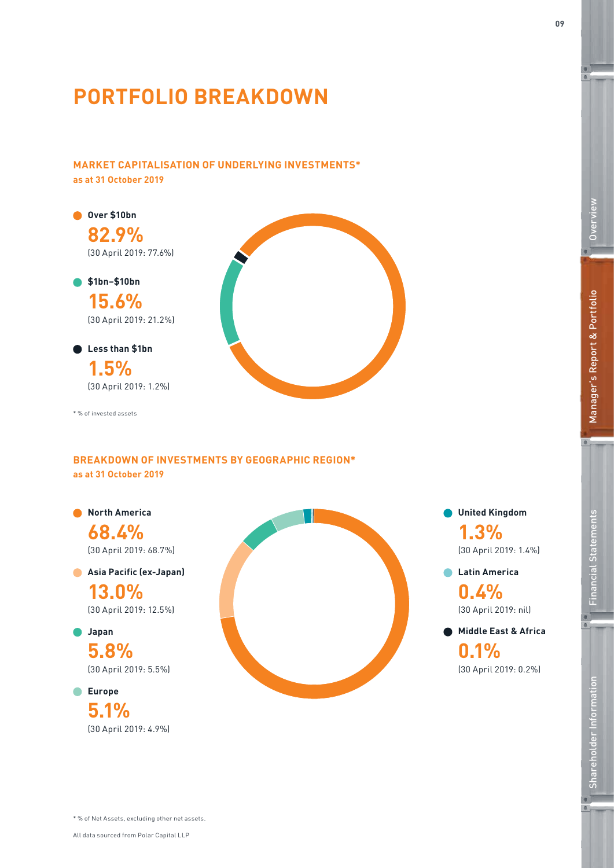# **PORTFOLIO BREAKDOWN**

# **MARKET CAPITALISATION OF UNDERLYING INVESTMENTS\* as at 31 October 2019**

**\$1bn–\$10bn Over \$10bn 82.9%** (30 April 2019: 77.6%)

> **15.6%** (30 April 2019: 21.2%)

# **Less than \$1bn 1.5%** (30 April 2019: 1.2%)

\* % of invested assets

# **BREAKDOWN OF INVESTMENTS BY GEOGRAPHIC REGION\* as at 31 October 2019**

**North America**

**68.4%** (30 April 2019: 68.7%)

**Asia Pacific (ex-Japan) 13.0%**

(30 April 2019: 12.5%)

**Japan 5.8%**

(30 April 2019: 5.5%)

**Europe 5.1%** (30 April 2019: 4.9%)



**United Kingdom 1.3%** (30 April 2019: 1.4%)

**Latin America 0.4%**

**Middle East & Africa 0.1%**

(30 April 2019: nil)

(30 April 2019: 0.2%)

**Overview** 

Overview

\* % of Net Assets, excluding other net assets.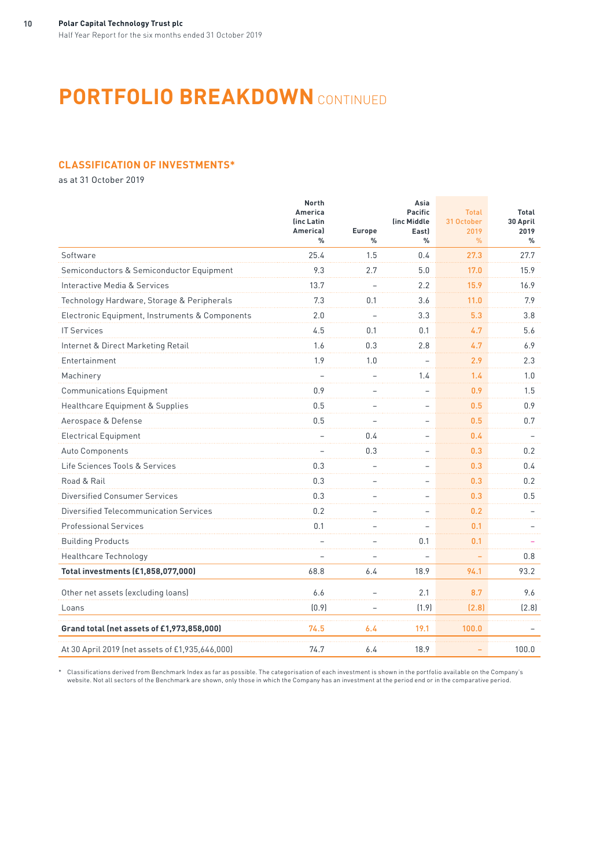# **PORTFOLIO BREAKDOWN** CONTINUED

## **CLASSIFICATION OF INVESTMENTS\***

as at 31 October 2019

|                                                 | <b>North</b><br>America<br>(inc Latin<br>Americal<br>$\frac{0}{0}$ | <b>Europe</b><br>$\frac{0}{0}$ | Asia<br><b>Pacific</b><br>(inc Middle<br>East)<br>$\frac{0}{0}$ | <b>Total</b><br>31 October<br>2019<br>$\%$ | Total<br>30 April<br>2019<br>$\%$ |
|-------------------------------------------------|--------------------------------------------------------------------|--------------------------------|-----------------------------------------------------------------|--------------------------------------------|-----------------------------------|
| Software                                        | 25.4                                                               | 1.5                            | 0.4                                                             | 27.3                                       | 27.7                              |
| Semiconductors & Semiconductor Equipment        | 9.3                                                                | 2.7                            | 5.0                                                             | 17.0                                       | 15.9                              |
| Interactive Media & Services                    | 13.7                                                               |                                | 2.2                                                             | 15.9                                       | 16.9                              |
| Technology Hardware, Storage & Peripherals      | 7.3                                                                | 0.1                            | 3.6                                                             | 11.0                                       | 7.9                               |
| Electronic Equipment, Instruments & Components  | 2.0                                                                |                                | 3.3                                                             | 5.3                                        | 3.8                               |
| <b>IT Services</b>                              | 4.5                                                                | 0.1                            | 0.1                                                             | 4.7                                        | 5.6                               |
| Internet & Direct Marketing Retail              | 1.6                                                                | 0.3                            | 2.8                                                             | 4.7                                        | 6.9                               |
| Entertainment                                   | 1.9                                                                | 1.0                            |                                                                 | 2.9                                        | 2.3                               |
| Machinery                                       |                                                                    |                                | 1.4                                                             | 1.4                                        | 1.0                               |
| <b>Communications Equipment</b>                 | 0.9                                                                |                                |                                                                 | 0.9                                        | 1.5                               |
| Healthcare Equipment & Supplies                 | 0.5                                                                |                                |                                                                 | 0.5                                        | 0.9                               |
| Aerospace & Defense                             | 0.5                                                                |                                |                                                                 | 0.5                                        | 0.7                               |
| <b>Electrical Equipment</b>                     |                                                                    | 0.4                            |                                                                 | 0.4                                        |                                   |
| Auto Components                                 |                                                                    | 0.3                            |                                                                 | $0.3\,$                                    | 0.2                               |
| Life Sciences Tools & Services                  | 0.3                                                                |                                |                                                                 | 0.3                                        | 0.4                               |
| Road & Rail                                     | 0.3                                                                |                                |                                                                 | $0.3\,$                                    | 0.2                               |
| <b>Diversified Consumer Services</b>            | 0.3                                                                |                                |                                                                 | 0.3                                        | 0.5                               |
| Diversified Telecommunication Services          | 0.2                                                                |                                |                                                                 | 0.2                                        |                                   |
| <b>Professional Services</b>                    | 0.1                                                                |                                |                                                                 | 0.1                                        |                                   |
| <b>Building Products</b>                        |                                                                    |                                | 0.1                                                             | 0.1                                        |                                   |
| Healthcare Technology                           |                                                                    |                                |                                                                 |                                            | 0.8                               |
| Total investments (£1,858,077,000)              | 68.8                                                               | 6.4                            | 18.9                                                            | 94.1                                       | 93.2                              |
| Other net assets (excluding loans)              | 6.6                                                                |                                | 2.1                                                             | 8.7                                        | 9.6                               |
| Loans                                           | (0.9)                                                              |                                | (1.9)                                                           | (2.8)                                      | [2.8]                             |
| Grand total (net assets of £1,973,858,000)      | 74.5                                                               | 6.4                            | 19.1                                                            | 100.0                                      |                                   |
| At 30 April 2019 (net assets of £1,935,646,000) | 74.7                                                               | 6.4                            | 18.9                                                            |                                            | 100.0                             |

\* Classifications derived from Benchmark Index as far as possible. The categorisation of each investment is shown in the portfolio available on the Company's website. Not all sectors of the Benchmark are shown, only those in which the Company has an investment at the period end or in the comparative period.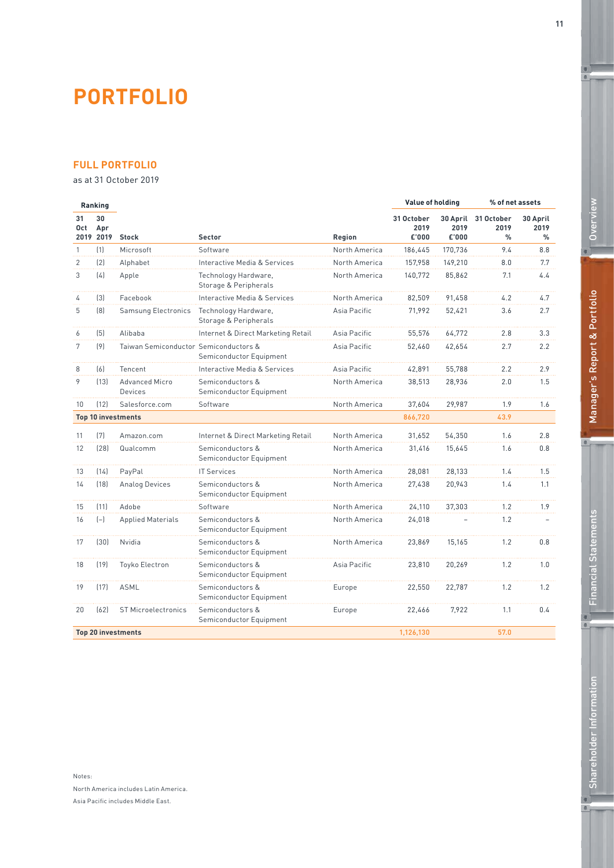# **PORTFOLIO**

# **FULL PORTFOLIO**

as at 31 October 2019

|                | Ranking                |                                       |                                               |               | Value of holding            |               | % of net assets                              |                          |
|----------------|------------------------|---------------------------------------|-----------------------------------------------|---------------|-----------------------------|---------------|----------------------------------------------|--------------------------|
| 31<br>Oct      | 30<br>Apr<br>2019 2019 | <b>Stock</b>                          | <b>Sector</b>                                 | Region        | 31 October<br>2019<br>£'000 | 2019<br>£'000 | 30 April 31 October<br>2019<br>$\frac{9}{6}$ | 30 April<br>2019<br>$\%$ |
| $\mathbf{1}$   | (1)                    | Microsoft                             | Software                                      | North America | 186.445                     | 170,736       | 9.4                                          | 8.8                      |
| $\overline{2}$ | [2]                    | Alphabet                              | Interactive Media & Services                  | North America | 157,958                     | 149,210       | 8.0                                          | 7.7                      |
| 3              | (4)                    | Apple                                 | Technology Hardware,<br>Storage & Peripherals | North America | 140,772                     | 85,862        | 7.1                                          | 4.4                      |
| $\overline{4}$ | $[3]$                  | Facebook                              | Interactive Media & Services                  | North America | 82.509                      | 91.458        | 4.2                                          | 4.7                      |
| 5              | [8]                    | <b>Samsung Electronics</b>            | Technology Hardware,<br>Storage & Peripherals | Asia Pacific  | 71,992                      | 52,421        | 3.6                                          | 2.7                      |
| 6              | (5)                    | Alibaba                               | Internet & Direct Marketing Retail            | Asia Pacific  | 55.576                      | 64,772        | 2.8                                          | 3.3                      |
| 7              | [9]                    | Taiwan Semiconductor Semiconductors & | Semiconductor Equipment                       | Asia Pacific  | 52.460                      | 42.654        | 2.7                                          | 2.2                      |
| 8              | (6)                    | Tencent                               | Interactive Media & Services                  | Asia Pacific  | 42,891                      | 55,788        | 2.2                                          | 2.9                      |
| 9              | [13]                   | <b>Advanced Micro</b><br>Devices      | Semiconductors &<br>Semiconductor Equipment   | North America | 38,513                      | 28.936        | 2.0                                          | 1.5                      |
| 10             | (12)                   | Salesforce.com                        | Software                                      | North America | 37,604                      | 29,987        | 1.9                                          | 1.6                      |
|                |                        | <b>Top 10 investments</b>             |                                               |               | 866,720                     |               | 43.9                                         |                          |
| 11             | (7)                    | Amazon.com                            | Internet & Direct Marketing Retail            | North America | 31.652                      | 54.350        | 1.6                                          | 2.8                      |
| 12             | [28]                   | Qualcomm                              | Semiconductors &<br>Semiconductor Equipment   | North America | 31.416                      | 15.645        | 1.6                                          | 0.8                      |
| 13             | [14]                   | PayPal                                | <b>IT Services</b>                            | North America | 28.081                      | 28.133        | 1.4                                          | 1.5                      |
| 14             | [18]                   | <b>Analog Devices</b>                 | Semiconductors &<br>Semiconductor Equipment   | North America | 27.438                      | 20.943        | 1.4                                          | 1.1                      |
| 15             | (11)                   | Adobe                                 | Software                                      | North America | 24,110                      | 37,303        | 1.2                                          | 1.9                      |
| 16             | $(-)$                  | <b>Applied Materials</b>              | Semiconductors &<br>Semiconductor Equipment   | North America | 24,018                      |               | 1.2                                          |                          |
| 17             | (30)                   | Nvidia                                | Semiconductors &<br>Semiconductor Equipment   | North America | 23,869                      | 15,165        | 1.2                                          | 0.8                      |
| 18             | (19)                   | Toyko Electron                        | Semiconductors &<br>Semiconductor Equipment   | Asia Pacific  | 23,810                      | 20,269        | 1.2                                          | 1.0                      |
| 19             | (17)                   | <b>ASML</b>                           | Semiconductors &<br>Semiconductor Equipment   | Europe        | 22,550                      | 22.787        | 1.2                                          | 1.2                      |
| 20             | [62]                   | <b>ST Microelectronics</b>            | Semiconductors &<br>Semiconductor Equipment   | Europe        | 22,466                      | 7,922         | 1.1                                          | 0.4                      |
|                |                        | <b>Top 20 investments</b>             |                                               |               | 1,126,130                   |               | 57.0                                         |                          |

 $\mathfrak{a}$ 

 $e$ ,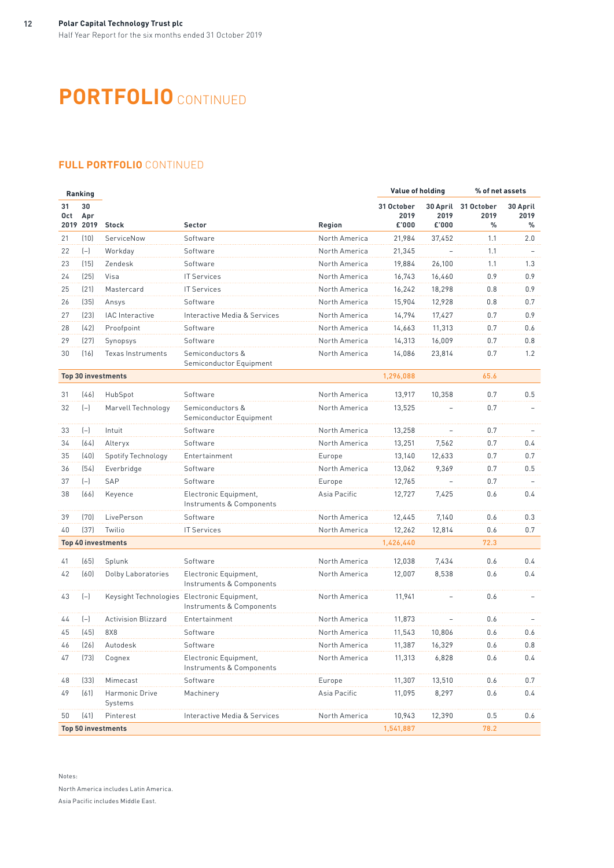# **PORTFOLIO** CONTINUED

# **FULL PORTFOLIO** CONTINUED

|           | Ranking                |                            |                                                                         |               | Value of holding            |               | % of net assets                  |                       |  |
|-----------|------------------------|----------------------------|-------------------------------------------------------------------------|---------------|-----------------------------|---------------|----------------------------------|-----------------------|--|
| 31<br>Oct | 30<br>Apr<br>2019 2019 | <b>Stock</b>               | <b>Sector</b>                                                           | Region        | 31 October<br>2019<br>£'000 | 2019<br>£'000 | 30 April 31 October<br>2019<br>% | 30 April<br>2019<br>℅ |  |
| 21        | (10)                   | ServiceNow                 | Software                                                                | North America | 21,984                      | 37,452        | 1.1                              | 2.0                   |  |
| 22        | $(-)$                  | Workday                    | Software                                                                | North America | 21,345                      |               | 1.1                              |                       |  |
| 23        | (15)                   | Zendesk                    | Software                                                                | North America | 19,884                      | 26,100        | 1.1                              | 1.3                   |  |
| 24        | (25)                   | Visa                       | <b>IT Services</b>                                                      | North America | 16,743                      | 16,460        | 0.9                              | 0.9                   |  |
| 25        | (21)                   | Mastercard                 | <b>IT Services</b>                                                      | North America | 16,242                      | 18,298        | 0.8                              | 0.9                   |  |
| 26        | (35)                   | Ansys                      | Software                                                                | North America | 15,904                      | 12,928        | 0.8                              | 0.7                   |  |
| 27        | (23)                   | <b>IAC</b> Interactive     | Interactive Media & Services                                            | North America | 14,794                      | 17,427        | 0.7                              | 0.9                   |  |
| 28        | (42)                   | Proofpoint                 | Software                                                                | North America | 14,663                      | 11,313        | 0.7                              | 0.6                   |  |
| 29        | (27)                   | Synopsys                   | Software                                                                | North America | 14,313                      | 16,009        | 0.7                              | 0.8                   |  |
| 30        | (16)                   | Texas Instruments          | Semiconductors &<br>Semiconductor Equipment                             | North America | 14,086                      | 23,814        | 0.7                              | 1.2                   |  |
|           |                        | <b>Top 30 investments</b>  |                                                                         |               | 1,296,088                   |               | 65.6                             |                       |  |
| 31        | (46)                   | HubSpot                    | Software                                                                | North America | 13,917                      | 10,358        | 0.7                              | 0.5                   |  |
| 32        | $(-)$                  | Marvell Technology         | Semiconductors &<br>Semiconductor Equipment                             | North America | 13,525                      |               | 0.7                              |                       |  |
| 33        | $(-)$                  | Intuit                     | Software                                                                | North America | 13,258                      |               | 0.7                              |                       |  |
| 34        | (64)                   | Alteryx                    | Software                                                                | North America | 13,251                      | 7,562         | 0.7                              | 0.4                   |  |
| 35        | (40)                   | <b>Spotify Technology</b>  | Entertainment                                                           | Europe        | 13,140                      | 12,633        | 0.7                              | 0.7                   |  |
| 36        | (54)                   | Everbridge                 | Software                                                                | North America | 13,062                      | 9,369         | 0.7                              | 0.5                   |  |
| 37        | $(-)$                  | SAP                        | Software                                                                | Europe        | 12,765                      |               | 0.7                              |                       |  |
| 38        | (66)                   | Keyence                    | Electronic Equipment,<br>Instruments & Components                       | Asia Pacific  | 12,727                      | 7,425         | 0.6                              | 0.4                   |  |
| 39        | (70)                   | LivePerson                 | Software                                                                | North America | 12,445                      | 7,140         | 0.6                              | 0.3                   |  |
| 40        | (37)                   | Twilio                     | <b>IT Services</b>                                                      | North America | 12,262                      | 12,814        | 0.6                              | 0.7                   |  |
|           |                        | <b>Top 40 investments</b>  |                                                                         |               | 1,426,440                   |               | 72.3                             |                       |  |
| 41        | (65)                   | Splunk                     | Software                                                                | North America | 12,038                      | 7,434         | 0.6                              | 0.4                   |  |
| 42        | (60)                   | Dolby Laboratories         | Electronic Equipment,<br>Instruments & Components                       | North America | 12,007                      | 8,538         | 0.6                              | 0.4                   |  |
| 43        | $(-)$                  |                            | Keysight Technologies Electronic Equipment,<br>Instruments & Components | North America | 11,941                      |               | 0.6                              |                       |  |
| 44        | $(-)$                  | <b>Activision Blizzard</b> | Entertainment                                                           | North America | 11,873                      |               | 0.6                              |                       |  |
| 45        | (45)                   | 8X8                        | Software                                                                | North America | 11,543                      | 10,806        | 0.6                              | 0.6                   |  |
| 46        | (26)                   | Autodesk                   | Software                                                                | North America | 11,387                      | 16,329        | 0.6                              | 0.8                   |  |
| 47        | (73)                   | Cognex                     | Electronic Equipment,<br>Instruments & Components                       | North America | 11,313                      | 6,828         | 0.6                              | 0.4                   |  |
| 48        | (33)                   | Mimecast                   | Software                                                                | Europe        | 11,307                      | 13,510        | 0.6                              | 0.7                   |  |
| 49        | (61)                   | Harmonic Drive<br>Systems  | Machinery                                                               | Asia Pacific  | 11,095                      | 8,297         | 0.6                              | 0.4                   |  |
| 50        | (41)                   | Pinterest                  | Interactive Media & Services                                            | North America | 10,943                      | 12,390        | 0.5                              | 0.6                   |  |
|           |                        | <b>Top 50 investments</b>  |                                                                         |               | 1,541,887                   |               | 78.2                             |                       |  |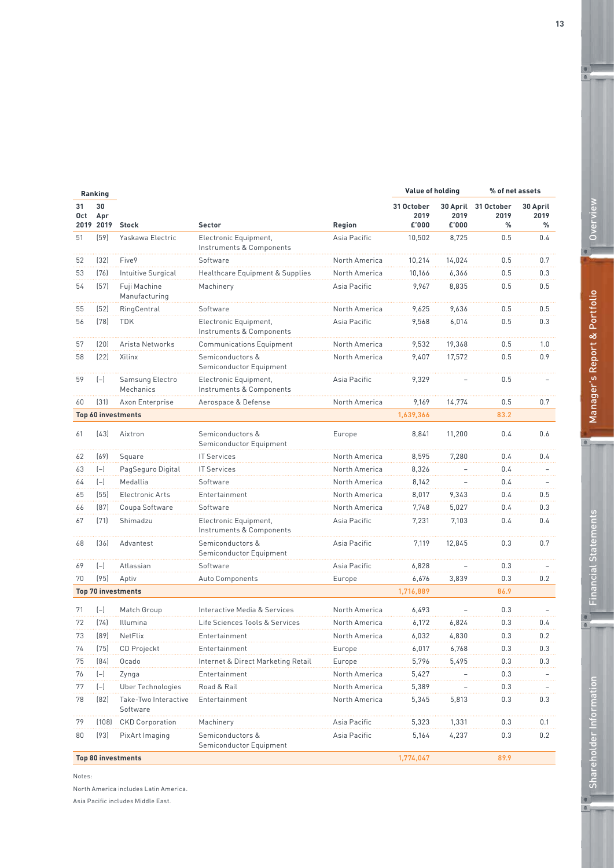|           | Ranking                |                                  |                                                   |               | Value of holding            |               | % of net assets                  |                       |
|-----------|------------------------|----------------------------------|---------------------------------------------------|---------------|-----------------------------|---------------|----------------------------------|-----------------------|
| 31<br>Oct | 30<br>Apr<br>2019 2019 | <b>Stock</b>                     | <b>Sector</b>                                     | Region        | 31 October<br>2019<br>£'000 | 2019<br>£'000 | 30 April 31 October<br>2019<br>% | 30 April<br>2019<br>% |
| 51        | (59)                   | Yaskawa Electric                 | Electronic Equipment,<br>Instruments & Components | Asia Pacific  | 10,502                      | 8,725         | 0.5                              | 0.4                   |
| 52        | (32)                   | Five9                            | Software                                          | North America | 10,214                      | 14,024        | 0.5                              | 0.7                   |
| 53        | (76)                   | Intuitive Surgical               | Healthcare Equipment & Supplies                   | North America | 10,166                      | 6,366         | 0.5                              | 0.3                   |
| 54        | (57)                   | Fuji Machine<br>Manufacturing    | Machinery                                         | Asia Pacific  | 9,967                       | 8,835         | 0.5                              | 0.5                   |
| 55        | (52)                   | RingCentral                      | Software                                          | North America | 9,625                       | 9,636         | 0.5                              | 0.5                   |
| 56        | (78)                   | <b>TDK</b>                       | Electronic Equipment,<br>Instruments & Components | Asia Pacific  | 9,568                       | 6,014         | 0.5                              | 0.3                   |
| 57        | (20)                   | Arista Networks                  | <b>Communications Equipment</b>                   | North America | 9,532                       | 19,368        | 0.5                              | 1.0                   |
| 58        | (22)                   | Xilinx                           | Semiconductors &<br>Semiconductor Equipment       | North America | 9,407                       | 17,572        | 0.5                              | 0.9                   |
| 59        | $(-)$                  | Samsung Electro<br>Mechanics     | Electronic Equipment,<br>Instruments & Components | Asia Pacific  | 9,329                       |               | 0.5                              |                       |
| 60        | (31)                   | Axon Enterprise                  | Aerospace & Defense                               | North America | 9,169                       | 14,774        | 0.5                              | 0.7                   |
|           |                        | Top 60 investments               |                                                   |               | 1,639,366                   |               | 83.2                             |                       |
| 61        | (43)                   | Aixtron                          | Semiconductors &<br>Semiconductor Equipment       | Europe        | 8,841                       | 11,200        | 0.4                              | 0.6                   |
| 62        | (69)                   | Square                           | <b>IT Services</b>                                | North America | 8,595                       | 7,280         | 0.4                              | 0.4                   |
| 63        | $(-)$                  | PagSeguro Digital                | <b>IT Services</b>                                | North America | 8,326                       |               | 0.4                              |                       |
| 64        | $(-)$                  | Medallia                         | Software                                          | North America | 8,142                       |               | 0.4                              |                       |
| 65        | (55)                   | Electronic Arts                  | Entertainment                                     | North America | 8,017                       | 9,343         | 0.4                              | 0.5                   |
| 66        | (87)                   | Coupa Software                   | Software                                          | North America | 7,748                       | 5,027         | 0.4                              | 0.3                   |
| 67        | (71)                   | Shimadzu                         | Electronic Equipment,<br>Instruments & Components | Asia Pacific  | 7,231                       | 7,103         | 0.4                              | 0.4                   |
| 68        | (36)                   | Advantest                        | Semiconductors &<br>Semiconductor Equipment       | Asia Pacific  | 7,119                       | 12,845        | 0.3                              | 0.7                   |
| 69        | $(-)$                  | Atlassian                        | Software                                          | Asia Pacific  | 6,828                       |               | 0.3                              |                       |
| 70        | (95)                   | Aptiv                            | Auto Components                                   | Europe        | 6,676                       | 3,839         | 0.3                              | 0.2                   |
|           |                        | <b>Top 70 investments</b>        |                                                   |               | 1,716,889                   |               | 86.9                             |                       |
| 71        | $(-)$                  | Match Group                      | Interactive Media & Services                      | North America | 6,493                       |               | 0.3                              |                       |
| 72        | [74]                   | Illumina                         | Life Sciences Tools & Services                    | North America | 6,172                       | 6,824         | 0.3                              | 0.4                   |
| 73        | [89]                   | NetFlix                          | Entertainment                                     | North America | 6,032                       | 4,830         | 0.3                              | 0.2                   |
| 74        | (75)                   | CD Projeckt                      | Entertainment                                     | Europe        | 6,017                       | 6,768         | 0.3                              | 0.3                   |
| 75        | (84)                   | Ocado                            | Internet & Direct Marketing Retail                | Europe        | 5,796                       | 5,495         | 0.3                              | 0.3                   |
| 76        | $(-)$                  | Zynga                            | Entertainment                                     | North America | 5,427                       |               | 0.3                              |                       |
| 77        | $(-)$                  | <b>Uber Technologies</b>         | Road & Rail                                       | North America | 5,389                       |               | 0.3                              |                       |
| 78        | (82)                   | Take-Two Interactive<br>Software | Entertainment                                     | North America | 5,345                       | 5,813         | 0.3                              | 0.3                   |
| 79        | (108)                  | <b>CKD Corporation</b>           | Machinery                                         | Asia Pacific  | 5,323                       | 1,331         | 0.3                              | 0.1                   |
| 80        | (93)                   | PixArt Imaging                   | Semiconductors &<br>Semiconductor Equipment       | Asia Pacific  | 5,164                       | 4,237         | 0.3                              | 0.2                   |
|           |                        | <b>Top 80 investments</b>        |                                                   |               | 1,774,047                   |               | 89.9                             |                       |

Notes:

North America includes Latin America.

Asia Pacific includes Middle East.

Overview **Overview** 

 $\mathbf{c}$ 

Manager's Report & Portfolio Manager's Report & Portfolio

 $^{\circ}$ 

Financial Statements<br>| Financial Statements

 $\bullet$ 

 $\blacksquare$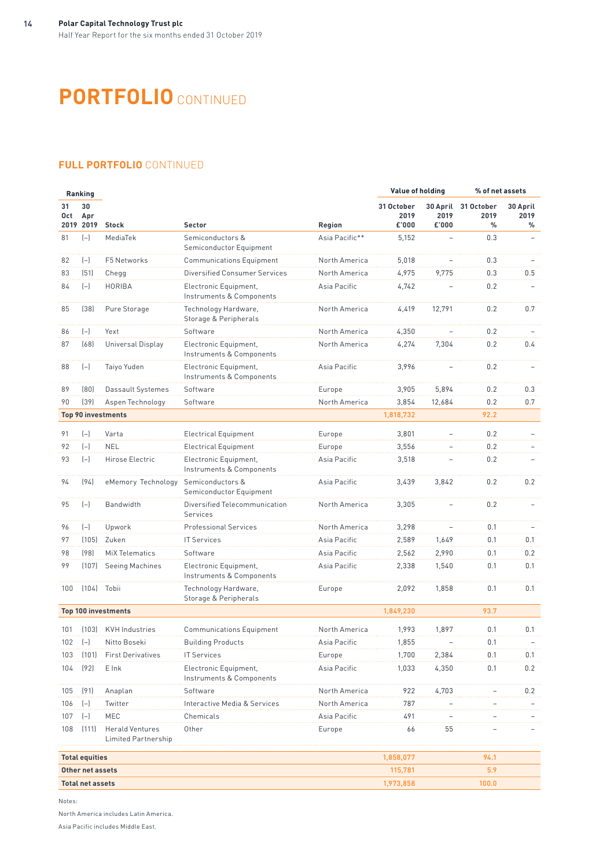# **PORTFOLIO** CONTINUED

# **FULL PORTFOLIO** CONTINUED

| Ranking   |                         |                                        |                                                   |                | Value of holding            |               | % of net assets                              |                       |  |
|-----------|-------------------------|----------------------------------------|---------------------------------------------------|----------------|-----------------------------|---------------|----------------------------------------------|-----------------------|--|
| 31<br>Oct | 30<br>Apr               | 2019 2019 Stock                        | <b>Sector</b>                                     | Region         | 31 October<br>2019<br>£'000 | 2019<br>£'000 | 30 April 31 October<br>2019<br>$\frac{0}{0}$ | 30 April<br>2019<br>℅ |  |
| 81        | $(-)$                   | MediaTek                               | Semiconductors &<br>Semiconductor Equipment       | Asia Pacific** | 5,152                       |               | 0.3                                          |                       |  |
| 82        | $(-)$                   | F5 Networks                            | <b>Communications Equipment</b>                   | North America  | 5,018                       |               | 0.3                                          |                       |  |
| 83        | (51)                    | Chegg                                  | <b>Diversified Consumer Services</b>              | North America  | 4,975                       | 9,775         | 0.3                                          | 0.5                   |  |
| 84        | $(-)$                   | HORIBA                                 | Electronic Equipment,<br>Instruments & Components | Asia Pacific   | 4,742                       |               | 0.2                                          |                       |  |
| 85        | (38)                    | Pure Storage                           | Technology Hardware,<br>Storage & Peripherals     | North America  | 4,419                       | 12,791        | 0.2                                          | 0.7                   |  |
| 86        | $(-)$                   | Yext                                   | Software                                          | North America  | 4,350                       |               | 0.2                                          |                       |  |
| 87        | (68)                    | Universal Display                      | Electronic Equipment,<br>Instruments & Components | North America  | 4,274                       | 7,304         | 0.2                                          | 0.4                   |  |
| 88        | $(-)$                   | Taiyo Yuden                            | Electronic Equipment,<br>Instruments & Components | Asia Pacific   | 3,996                       |               | 0.2                                          |                       |  |
| 89        | (80)                    | Dassault Systemes                      | Software                                          | Europe         | 3,905                       | 5,894         | 0.2                                          | 0.3                   |  |
| 90        | (39)                    | Aspen Technology                       | Software                                          | North America  | 3,854                       | 12,684        | 0.2                                          | 0.7                   |  |
|           |                         | <b>Top 90 investments</b>              |                                                   |                | 1,818,732                   |               | 92.2                                         |                       |  |
| 91        | $(-)$                   | Varta                                  | <b>Electrical Equipment</b>                       | Europe         | 3,801                       |               | 0.2                                          |                       |  |
| 92        | $(-)$                   | <b>NEL</b>                             | <b>Electrical Equipment</b>                       | Europe         | 3,556                       |               | 0.2                                          |                       |  |
| 93        | $(-)$                   | Hirose Electric                        | Electronic Equipment,<br>Instruments & Components | Asia Pacific   | 3,518                       |               | 0.2                                          |                       |  |
| 94        | (94)                    | eMemory Technology                     | Semiconductors &<br>Semiconductor Equipment       | Asia Pacific   | 3,439                       | 3,842         | 0.2                                          | 0.2                   |  |
| 95        | $(-)$                   | Bandwidth                              | Diversified Telecommunication<br>Services         | North America  | 3,305                       |               | 0.2                                          |                       |  |
| 96        | $(-)$                   | Upwork                                 | <b>Professional Services</b>                      | North America  | 3,298                       |               | 0.1                                          |                       |  |
| 97        | (105)                   | Zuken                                  | <b>IT Services</b>                                | Asia Pacific   | 2,589                       | 1,649         | 0.1                                          | 0.1                   |  |
| 98        | [98]                    | <b>MiX Telematics</b>                  | Software                                          | Asia Pacific   | 2,562                       | 2,990         | 0.1                                          | 0.2                   |  |
| 99        | (107)                   | Seeing Machines                        | Electronic Equipment,<br>Instruments & Components | Asia Pacific   | 2,338                       | 1,540         | 0.1                                          | 0.1                   |  |
| 100       | (104) Tobii             |                                        | Technology Hardware,<br>Storage & Peripherals     | Europe         | 2,092                       | 1,858         | 0.1                                          | 0.1                   |  |
|           |                         | <b>Top 100 investments</b>             |                                                   |                | 1,849,230                   |               | 93.7                                         |                       |  |
| 101       | (103)                   | <b>KVH</b> Industries                  | <b>Communications Equipment</b>                   | North America  | 1,993                       | 1,897         | 0.1                                          | 0.1                   |  |
| 102       | $(-)$                   | Nitto Boseki                           | <b>Building Products</b>                          | Asia Pacific   | 1,855                       |               | 0.1                                          |                       |  |
| 103       | (101)                   | <b>First Derivatives</b>               | <b>IT Services</b>                                | Europe         | 1,700                       | 2,384         | 0.1                                          | 0.1                   |  |
| 104       | (92)                    | E Ink                                  | Electronic Equipment,<br>Instruments & Components | Asia Pacific   | 1,033                       | 4,350         | 0.1                                          | 0.2                   |  |
| 105       | (91)                    | Anaplan                                | Software                                          | North America  | 922                         | 4,703         |                                              | 0.2                   |  |
| 106       | $(-)$                   | Twitter                                | Interactive Media & Services                      | North America  | 787                         |               |                                              |                       |  |
| 107       | $(-)$                   | MEC                                    | Chemicals                                         | Asia Pacific   | 491                         |               |                                              |                       |  |
| 108       | (111)                   | Herald Ventures<br>Limited Partnership | Other                                             | Europe         | 66                          | 55            |                                              |                       |  |
|           | <b>Total equities</b>   |                                        |                                                   |                | 1,858,077                   |               | 94.1                                         |                       |  |
|           | Other net assets        |                                        |                                                   |                | 115,781                     |               | 5.9                                          |                       |  |
|           | <b>Total net assets</b> |                                        |                                                   |                | 1,973,858                   |               | 100.0                                        |                       |  |

Notes:

North America includes Latin America. Asia Pacific includes Middle East.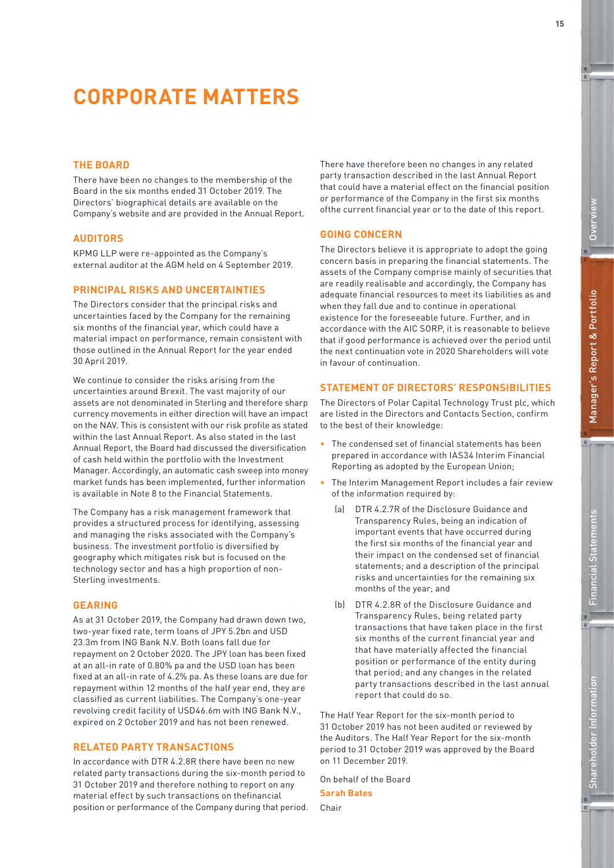**15**

 $e$ 

# **CORPORATE MATTERS**

### **THE BOARD**

There have been no changes to the membership of the Board in the six months ended 31 October 2019. The Directors' biographical details are available on the Company's website and are provided in the Annual Report.

### **AUDITORS**

KPMG LLP were re-appointed as the Company's external auditor at the AGM held on 4 September 2019.

## **PRINCIPAL RISKS AND UNCERTAINTIES**

The Directors consider that the principal risks and uncertainties faced by the Company for the remaining six months of the financial year, which could have a material impact on performance, remain consistent with those outlined in the Annual Report for the year ended 30 April 2019.

We continue to consider the risks arising from the uncertainties around Brexit. The vast majority of our assets are not denominated in Sterling and therefore sharp currency movements in either direction will have an impact on the NAV. This is consistent with our risk profile as stated within the last Annual Report. As also stated in the last Annual Report, the Board had discussed the diversification of cash held within the portfolio with the Investment Manager. Accordingly, an automatic cash sweep into money market funds has been implemented, further information is available in Note 8 to the Financial Statements.

The Company has a risk management framework that provides a structured process for identifying, assessing and managing the risks associated with the Company's business. The investment portfolio is diversified by geography which mitigates risk but is focused on the technology sector and has a high proportion of non-Sterling investments.

### **GEARING**

As at 31 October 2019, the Company had drawn down two, two-year fixed rate, term loans of JPY 5.2bn and USD 23.3m from ING Bank N.V. Both loans fall due for repayment on 2 October 2020. The JPY loan has been fixed at an all-in rate of 0.80% pa and the USD loan has been fixed at an all-in rate of 4.2% pa. As these loans are due for repayment within 12 months of the half year end, they are classified as current liabilities. The Company's one-year revolving credit facility of USD46.6m with ING Bank N.V., expired on 2 October 2019 and has not been renewed.

### **RELATED PARTY TRANSACTIONS**

In accordance with DTR 4.2.8R there have been no new related party transactions during the six-month period to 31 October 2019 and therefore nothing to report on any material effect by such transactions on thefinancial position or performance of the Company during that period. There have therefore been no changes in any related party transaction described in the last Annual Report that could have a material effect on the financial position or performance of the Company in the first six months ofthe current financial year or to the date of this report.

### **GOING CONCERN**

The Directors believe it is appropriate to adopt the going concern basis in preparing the financial statements. The assets of the Company comprise mainly of securities that are readily realisable and accordingly, the Company has adequate financial resources to meet its liabilities as and when they fall due and to continue in operational existence for the foreseeable future. Further, and in accordance with the AIC SORP, it is reasonable to believe that if good performance is achieved over the period until the next continuation vote in 2020 Shareholders will vote in favour of continuation.

### **STATEMENT OF DIRECTORS' RESPONSIBILITIES**

The Directors of Polar Capital Technology Trust plc, which are listed in the Directors and Contacts Section, confirm to the best of their knowledge:

- The condensed set of financial statements has been prepared in accordance with IAS34 Interim Financial Reporting as adopted by the European Union;
- The Interim Management Report includes a fair review of the information required by:
	- (a) DTR 4.2.7R of the Disclosure Guidance and Transparency Rules, being an indication of important events that have occurred during the first six months of the financial year and their impact on the condensed set of financial statements; and a description of the principal risks and uncertainties for the remaining six months of the year; and
	- (b) DTR 4.2.8R of the Disclosure Guidance and Transparency Rules, being related party transactions that have taken place in the first six months of the current financial year and that have materially affected the financial position or performance of the entity during that period; and any changes in the related party transactions described in the last annual report that could do so.

The Half Year Report for the six-month period to 31 October 2019 has not been audited or reviewed by the Auditors. The Half Year Report for the six-month period to 31 October 2019 was approved by the Board on 11 December 2019.

On behalf of the Board **Sarah Bates**

Chair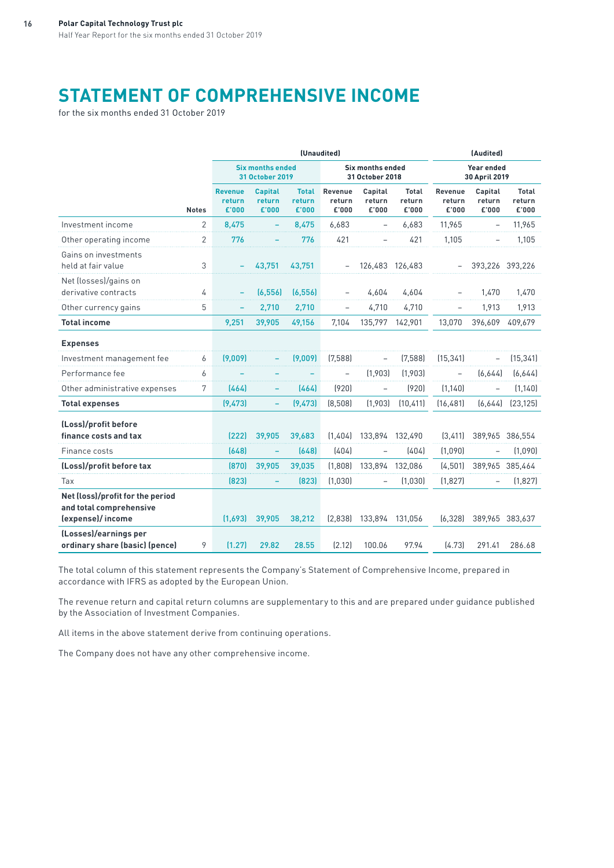# **STATEMENT OF COMPREHENSIVE INCOME**

for the six months ended 31 October 2019

|                                                                                 |                |                                   |                                                   |                                 | (Unaudited)                       |                                     |                          | (Audited)                  |                             |                                 |  |
|---------------------------------------------------------------------------------|----------------|-----------------------------------|---------------------------------------------------|---------------------------------|-----------------------------------|-------------------------------------|--------------------------|----------------------------|-----------------------------|---------------------------------|--|
|                                                                                 |                |                                   | <b>Six months ended</b><br><b>31 October 2019</b> |                                 |                                   | Six months ended<br>31 October 2018 |                          |                            | Year ended<br>30 April 2019 |                                 |  |
|                                                                                 | <b>Notes</b>   | <b>Revenue</b><br>return<br>£'000 | <b>Capital</b><br>return<br>£'000                 | <b>Total</b><br>return<br>£'000 | <b>Revenue</b><br>return<br>£'000 | Capital<br>return<br>£'000          | Total<br>return<br>£'000 | Revenue<br>return<br>£'000 | Capital<br>return<br>£'000  | <b>Total</b><br>return<br>£'000 |  |
| Investment income                                                               | $\overline{2}$ | 8,475                             |                                                   | 8,475                           | 6,683                             |                                     | 6,683                    | 11,965                     |                             | 11,965                          |  |
| Other operating income                                                          | 2              | 776                               |                                                   | 776                             | 421                               |                                     | 421                      | 1,105                      |                             | 1,105                           |  |
| Gains on investments<br>held at fair value                                      | 3              |                                   | 43,751                                            | 43,751                          |                                   | 126,483 126,483                     |                          |                            | 393,226 393,226             |                                 |  |
| Net (losses)/gains on<br>derivative contracts                                   | 4              |                                   | (6, 556)                                          | (6, 556)                        |                                   | 4,604                               | 4,604                    |                            | 1,470                       | 1,470                           |  |
| Other currency gains                                                            | 5              |                                   | 2,710                                             | 2,710                           |                                   | 4,710                               | 4,710                    |                            | 1,913                       | 1,913                           |  |
| <b>Total income</b>                                                             |                | 9,251                             | 39,905                                            | 49,156                          | 7.104                             | 135,797                             | 142,901                  | 13.070                     | 396,609                     | 409,679                         |  |
| <b>Expenses</b>                                                                 |                |                                   |                                                   |                                 |                                   |                                     |                          |                            |                             |                                 |  |
| Investment management fee                                                       | 6              | (9,009)                           |                                                   | (9,009)                         | (7,588)                           |                                     | (7,588)                  | (15, 341)                  |                             | (15, 341)                       |  |
| Performance fee                                                                 | 6              |                                   |                                                   |                                 |                                   | (1,903)                             | (1,903)                  |                            | [6,644]                     | (6,644)                         |  |
| Other administrative expenses                                                   | 7              | [464]                             |                                                   | (464)                           | (920)                             |                                     | (920)                    | (1.140)                    |                             | (1.140)                         |  |
| <b>Total expenses</b>                                                           |                | (9, 473)                          |                                                   | (9, 473)                        | (8,508)                           | (1,903)                             | (10, 411)                | (16, 481)                  | (6,644)                     | (23, 125)                       |  |
| (Loss)/profit before<br>finance costs and tax                                   |                | (222)                             | 39,905                                            | 39,683                          | (1,404)                           | 133,894                             | 132,490                  | (3, 411)                   |                             | 389,965 386,554                 |  |
| Finance costs                                                                   |                | (648)                             |                                                   | (648)                           | (404)                             |                                     | (404)                    | (1,090)                    |                             | (1,090)                         |  |
| (Loss)/profit before tax                                                        |                | (870)                             | 39,905                                            | 39,035                          | (1,808)                           | 133,894                             | 132,086                  | (4, 501)                   |                             | 389,965 385,464                 |  |
| Tax                                                                             |                | (823)                             |                                                   | (823)                           | (1,030)                           |                                     | (1,030)                  | (1,827)                    |                             | (1, 827)                        |  |
| Net (loss)/profit for the period<br>and total comprehensive<br>(expense)/income |                | (1,693)                           | 39,905                                            | 38,212                          | (2,838)                           | 133,894 131,056                     |                          | (6, 328)                   |                             | 389,965 383,637                 |  |
| (Losses)/earnings per<br>ordinary share (basic) (pence)                         | 9              | (1.27)                            | 29.82                                             | 28.55                           | (2.12)                            | 100.06                              | 97.94                    | [4.73]                     | 291.41                      | 286.68                          |  |

The total column of this statement represents the Company's Statement of Comprehensive Income, prepared in accordance with IFRS as adopted by the European Union.

The revenue return and capital return columns are supplementary to this and are prepared under guidance published by the Association of Investment Companies.

All items in the above statement derive from continuing operations.

The Company does not have any other comprehensive income.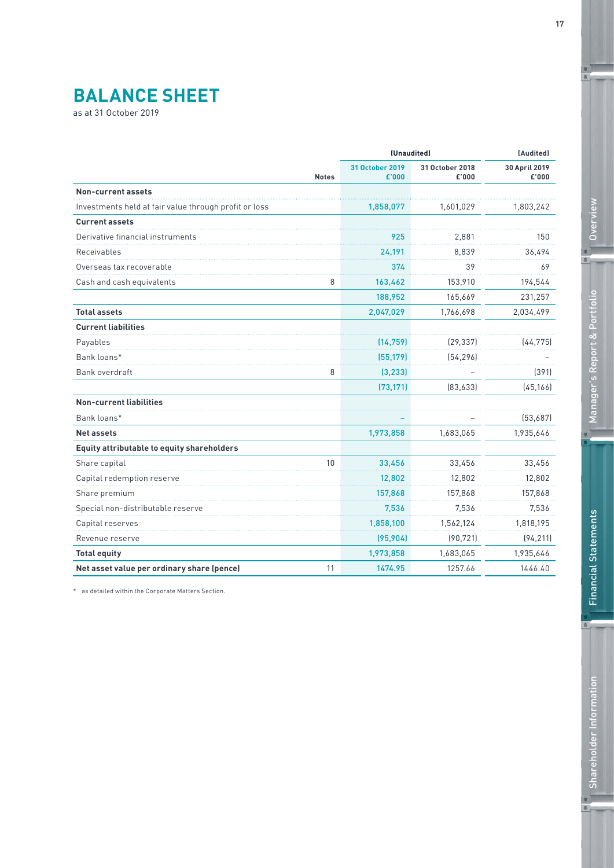# **BALANCE SHEET**

as at 31 October 2019

|                                                       |              | (Unaudited)              |                          | (Audited)              |  |
|-------------------------------------------------------|--------------|--------------------------|--------------------------|------------------------|--|
|                                                       | <b>Notes</b> | 31 October 2019<br>£'000 | 31 October 2018<br>£'000 | 30 April 2019<br>£'000 |  |
| <b>Non-current assets</b>                             |              |                          |                          |                        |  |
| Investments held at fair value through profit or loss |              | 1,858,077                | 1,601,029                | 1,803,242              |  |
| <b>Current assets</b>                                 |              |                          |                          |                        |  |
| Derivative financial instruments                      |              | 925                      | 2,881                    | 150                    |  |
| Receivables                                           |              | 24,191                   | 8,839                    | 36,494                 |  |
| Overseas tax recoverable                              |              | 374                      | 39                       | 69                     |  |
| Cash and cash equivalents                             | 8            | 163,462                  | 153,910                  | 194,544                |  |
|                                                       |              | 188,952                  | 165,669                  | 231,257                |  |
| <b>Total assets</b>                                   |              | 2,047,029                | 1,766,698                | 2,034,499              |  |
| <b>Current liabilities</b>                            |              |                          |                          |                        |  |
| Payables                                              |              | (14, 759)                | (29, 337)                | (44, 775)              |  |
| Bank loans*                                           |              | (55, 179)                | [54, 296]                |                        |  |
| Bank overdraft                                        | 8            | (3, 233)                 |                          | (391)                  |  |
|                                                       |              | (73, 171)                | [83, 633]                | (45, 166)              |  |
| <b>Non-current liabilities</b>                        |              |                          |                          |                        |  |
| Bank loans*                                           |              |                          |                          | [53,687]               |  |
| <b>Net assets</b>                                     |              | 1,973,858                | 1,683,065                | 1,935,646              |  |
| Equity attributable to equity shareholders            |              |                          |                          |                        |  |
| Share capital                                         | 10           | 33,456                   | 33,456                   | 33,456                 |  |
| Capital redemption reserve                            |              | 12,802                   | 12,802                   | 12,802                 |  |
| Share premium                                         |              | 157,868                  | 157,868                  | 157,868                |  |
| Special non-distributable reserve                     |              | 7.536                    | 7,536                    | 7,536                  |  |
| Capital reserves                                      |              | 1,858,100                | 1,562,124                | 1,818,195              |  |
| Revenue reserve                                       |              | (95, 904)                | (90, 721)                | (94, 211)              |  |
| <b>Total equity</b>                                   |              | 1,973,858                | 1,683,065                | 1,935,646              |  |
| Net asset value per ordinary share (pence)            | 11           | 1474.95                  | 1257.66                  | 1446.40                |  |
|                                                       |              |                          |                          |                        |  |

\* as detailed within the Corporate Matters Section.

 $^{\circ}$ 

 $\mathbf{c}$ 

 $\mathfrak{g}$ 

 $\blacksquare$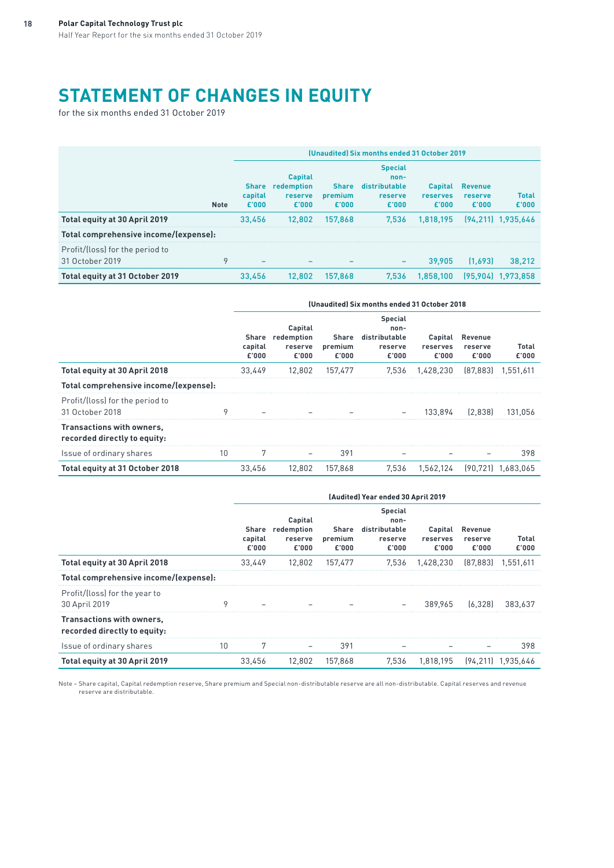# **STATEMENT OF CHANGES IN EQUITY**

for the six months ended 31 October 2019

|                                                    |             | (Unaudited) Six months ended 31 October 2019 |                                                               |                                  |                                                             |                                            |                                    |                       |  |  |
|----------------------------------------------------|-------------|----------------------------------------------|---------------------------------------------------------------|----------------------------------|-------------------------------------------------------------|--------------------------------------------|------------------------------------|-----------------------|--|--|
|                                                    | <b>Note</b> | capital<br>£'000                             | <b>Capital</b><br>Share redemption<br><b>reserve</b><br>£'000 | <b>Share</b><br>premium<br>£'000 | <b>Special</b><br>non-<br>distributable<br>reserve<br>£'000 | <b>Capital</b><br><b>reserves</b><br>£'000 | <b>Revenue</b><br>reserve<br>£'000 | <b>Total</b><br>£'000 |  |  |
| Total equity at 30 April 2019                      |             | 33.456                                       | 12.802                                                        | 157.868                          | 7.536                                                       | 1.818.195                                  |                                    | $[94.211]$ 1.935.646  |  |  |
| Total comprehensive income/(expense):              |             |                                              |                                                               |                                  |                                                             |                                            |                                    |                       |  |  |
| Profit/(loss) for the period to<br>31 October 2019 | 9           |                                              |                                                               |                                  | -                                                           | 39.905                                     | [1.693]                            | 38.212                |  |  |
| Total equity at 31 October 2019                    |             | 33.456                                       | 12.802                                                        | 157.868                          | 7.536                                                       | 1.858.100                                  | (95.904)                           | 1.973.858             |  |  |

|                                                           |    | (Unaudited) Six months ended 31 October 2018 |                                                 |                           |                                                             |                              |                             |                    |  |  |
|-----------------------------------------------------------|----|----------------------------------------------|-------------------------------------------------|---------------------------|-------------------------------------------------------------|------------------------------|-----------------------------|--------------------|--|--|
|                                                           |    | capital<br>£'000                             | Capital<br>Share redemption<br>reserve<br>£'000 | Share<br>premium<br>£'000 | <b>Special</b><br>non-<br>distributable<br>reserve<br>£'000 | Capital<br>reserves<br>£'000 | Revenue<br>reserve<br>£'000 | Total<br>£'000     |  |  |
| Total equity at 30 April 2018                             |    | 33.449                                       | 12,802                                          | 157.477                   | 7.536                                                       | 1.428.230                    | [87.883]                    | 1.551,611          |  |  |
| Total comprehensive income/(expense):                     |    |                                              |                                                 |                           |                                                             |                              |                             |                    |  |  |
| Profit/(loss) for the period to<br>31 October 2018        | ٥  |                                              |                                                 |                           |                                                             | 133.894                      | [2.838]                     | 131.056            |  |  |
| Transactions with owners,<br>recorded directly to equity: |    |                                              |                                                 |                           |                                                             |                              |                             |                    |  |  |
| Issue of ordinary shares                                  | 10 | 7                                            |                                                 | 391                       |                                                             |                              |                             | 398                |  |  |
| Total equity at 31 October 2018                           |    | 33.456                                       | 12.802                                          | 157.868                   | 7.536                                                       | 1.562.124                    |                             | [90.721] 1.683.065 |  |  |

|                                                           | (Audited) Year ended 30 April 2019 |                                                 |                           |                                                             |                              |                             |                      |
|-----------------------------------------------------------|------------------------------------|-------------------------------------------------|---------------------------|-------------------------------------------------------------|------------------------------|-----------------------------|----------------------|
|                                                           | capital<br>£'000                   | Capital<br>Share redemption<br>reserve<br>£'000 | Share<br>premium<br>£'000 | <b>Special</b><br>non-<br>distributable<br>reserve<br>£'000 | Capital<br>reserves<br>£'000 | Revenue<br>reserve<br>£'000 | Total<br>£'000       |
| Total equity at 30 April 2018                             | 33.449                             | 12.802                                          | 157.477                   | 7.536                                                       | 1.428.230                    |                             | $[87.883]$ 1.551.611 |
| Total comprehensive income/(expense):                     |                                    |                                                 |                           |                                                             |                              |                             |                      |
| Profit/(loss) for the year to<br>30 April 2019            |                                    |                                                 |                           |                                                             |                              | 389.965 [6.328]             | 383.637              |
| Transactions with owners,<br>recorded directly to equity: |                                    |                                                 |                           |                                                             |                              |                             |                      |
| Issue of ordinary shares                                  | 10                                 |                                                 | 391                       |                                                             |                              |                             | 398                  |
| Total equity at 30 April 2019                             | 33.456                             | 12.802                                          | 157.868                   | 7.536                                                       | 1.818.195                    |                             | [94.211] 1.935.646   |

Note – Share capital, Capital redemption reserve, Share premium and Special non-distributable reserve are all non-distributable. Capital reserves and revenue reserve are distributable.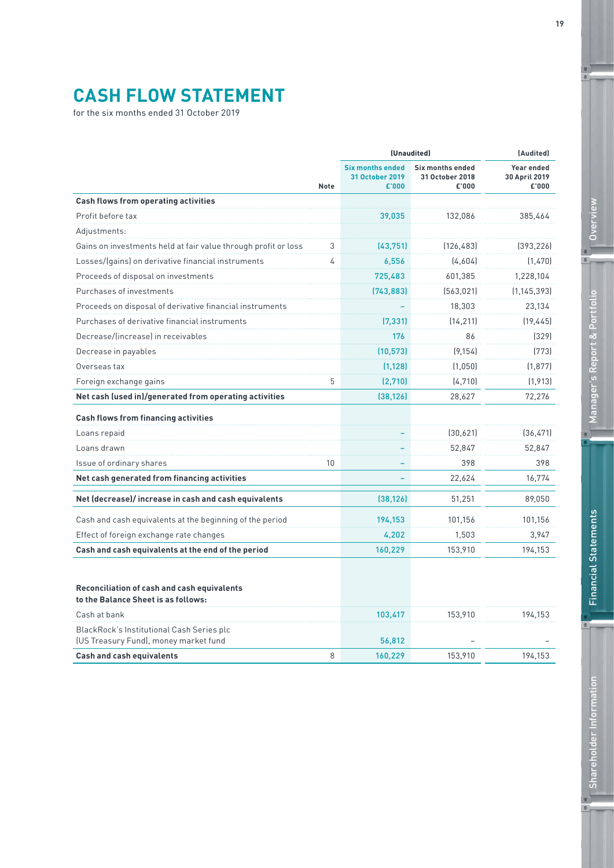# **CASH FLOW STATEMENT**

for the six months ended 31 October 2019

|                                                                                           | <b>Note</b> | (Unaudited)                                         |                                                     | (Audited)                            |  |
|-------------------------------------------------------------------------------------------|-------------|-----------------------------------------------------|-----------------------------------------------------|--------------------------------------|--|
|                                                                                           |             | <b>Six months ended</b><br>31 October 2019<br>£'000 | <b>Six months ended</b><br>31 October 2018<br>£'000 | Year ended<br>30 April 2019<br>£'000 |  |
| <b>Cash flows from operating activities</b>                                               |             |                                                     |                                                     |                                      |  |
| Profit before tax                                                                         |             | 39,035                                              | 132,086                                             | 385,464                              |  |
| Adjustments:                                                                              |             |                                                     |                                                     |                                      |  |
| Gains on investments held at fair value through profit or loss                            | 3           | (43,751)                                            | (126, 483)                                          | [393, 226]                           |  |
| Losses/(gains) on derivative financial instruments                                        | 4           | 6,556                                               | [4,604]                                             | (1, 470)                             |  |
| Proceeds of disposal on investments                                                       |             | 725,483                                             | 601,385                                             | 1,228,104                            |  |
| Purchases of investments                                                                  |             | (743, 883)                                          | (563, 021)                                          | (1, 145, 393)                        |  |
| Proceeds on disposal of derivative financial instruments                                  |             |                                                     | 18,303                                              | 23,134                               |  |
| Purchases of derivative financial instruments                                             |             | (7, 331)                                            | (14, 211)                                           | (19, 445)                            |  |
| Decrease/lincreasel in receivables                                                        |             | 176                                                 | 86                                                  | [329]                                |  |
| Decrease in payables                                                                      |             | (10, 573)                                           | (9.154)                                             | [773]                                |  |
| Overseas tax                                                                              |             | (1, 128)                                            | (1.050)                                             | (1, 877)                             |  |
| Foreign exchange gains                                                                    | 5           | (2,710)                                             | (4,710)                                             | (1, 913)                             |  |
| Net cash (used in)/generated from operating activities                                    |             | (38, 126)                                           | 28,627                                              | 72,276                               |  |
| <b>Cash flows from financing activities</b>                                               |             |                                                     |                                                     |                                      |  |
| Loans repaid                                                                              |             |                                                     | (30,621)                                            | (36, 471)                            |  |
| Loans drawn                                                                               |             |                                                     | 52.847                                              | 52,847                               |  |
| Issue of ordinary shares                                                                  | 10          |                                                     | 398                                                 | 398                                  |  |
| Net cash generated from financing activities                                              |             |                                                     | 22,624                                              | 16,774                               |  |
| Net (decrease)/increase in cash and cash equivalents                                      |             | (38, 126)                                           | 51,251                                              | 89,050                               |  |
| Cash and cash equivalents at the beginning of the period                                  |             | 194,153                                             | 101,156                                             | 101,156                              |  |
| Effect of foreign exchange rate changes                                                   |             | 4,202                                               | 1,503                                               | 3,947                                |  |
| Cash and cash equivalents at the end of the period                                        |             | 160,229                                             | 153,910                                             | 194,153                              |  |
|                                                                                           |             |                                                     |                                                     |                                      |  |
| <b>Reconciliation of cash and cash equivalents</b><br>to the Balance Sheet is as follows: |             |                                                     |                                                     |                                      |  |
| Cash at bank                                                                              |             | 103,417                                             | 153,910                                             | 194,153                              |  |
| BlackRock's Institutional Cash Series plc<br>(US Treasury Fund), money market fund        |             | 56,812                                              |                                                     |                                      |  |
| <b>Cash and cash equivalents</b>                                                          | 8           | 160,229                                             | 153,910                                             | 194,153                              |  |

 $^{\circ}$ 

 $\mathbf{c}$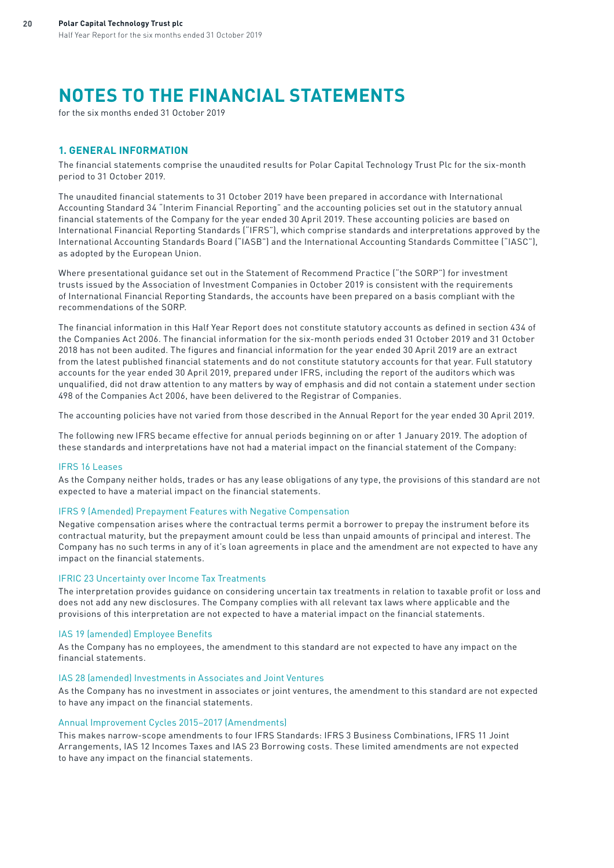# **NOTES TO THE FINANCIAL STATEMENTS**

for the six months ended 31 October 2019

### **1. GENERAL INFORMATION**

The financial statements comprise the unaudited results for Polar Capital Technology Trust Plc for the six-month period to 31 October 2019.

The unaudited financial statements to 31 October 2019 have been prepared in accordance with International Accounting Standard 34 "Interim Financial Reporting" and the accounting policies set out in the statutory annual financial statements of the Company for the year ended 30 April 2019. These accounting policies are based on International Financial Reporting Standards ("IFRS"), which comprise standards and interpretations approved by the International Accounting Standards Board ("IASB") and the International Accounting Standards Committee ("IASC"), as adopted by the European Union.

Where presentational guidance set out in the Statement of Recommend Practice ("the SORP") for investment trusts issued by the Association of Investment Companies in October 2019 is consistent with the requirements of International Financial Reporting Standards, the accounts have been prepared on a basis compliant with the recommendations of the SORP.

The financial information in this Half Year Report does not constitute statutory accounts as defined in section 434 of the Companies Act 2006. The financial information for the six-month periods ended 31 October 2019 and 31 October 2018 has not been audited. The figures and financial information for the year ended 30 April 2019 are an extract from the latest published financial statements and do not constitute statutory accounts for that year. Full statutory accounts for the year ended 30 April 2019, prepared under IFRS, including the report of the auditors which was unqualified, did not draw attention to any matters by way of emphasis and did not contain a statement under section 498 of the Companies Act 2006, have been delivered to the Registrar of Companies.

The accounting policies have not varied from those described in the Annual Report for the year ended 30 April 2019.

The following new IFRS became effective for annual periods beginning on or after 1 January 2019. The adoption of these standards and interpretations have not had a material impact on the financial statement of the Company:

### IFRS 16 Leases

As the Company neither holds, trades or has any lease obligations of any type, the provisions of this standard are not expected to have a material impact on the financial statements.

### IFRS 9 (Amended) Prepayment Features with Negative Compensation

Negative compensation arises where the contractual terms permit a borrower to prepay the instrument before its contractual maturity, but the prepayment amount could be less than unpaid amounts of principal and interest. The Company has no such terms in any of it's loan agreements in place and the amendment are not expected to have any impact on the financial statements.

#### IFRIC 23 Uncertainty over Income Tax Treatments

The interpretation provides guidance on considering uncertain tax treatments in relation to taxable profit or loss and does not add any new disclosures. The Company complies with all relevant tax laws where applicable and the provisions of this interpretation are not expected to have a material impact on the financial statements.

### IAS 19 (amended) Employee Benefits

As the Company has no employees, the amendment to this standard are not expected to have any impact on the financial statements.

### IAS 28 (amended) Investments in Associates and Joint Ventures

As the Company has no investment in associates or joint ventures, the amendment to this standard are not expected to have any impact on the financial statements.

### Annual Improvement Cycles 2015–2017 (Amendments)

This makes narrow-scope amendments to four IFRS Standards: IFRS 3 Business Combinations, IFRS 11 Joint Arrangements, IAS 12 Incomes Taxes and IAS 23 Borrowing costs. These limited amendments are not expected to have any impact on the financial statements.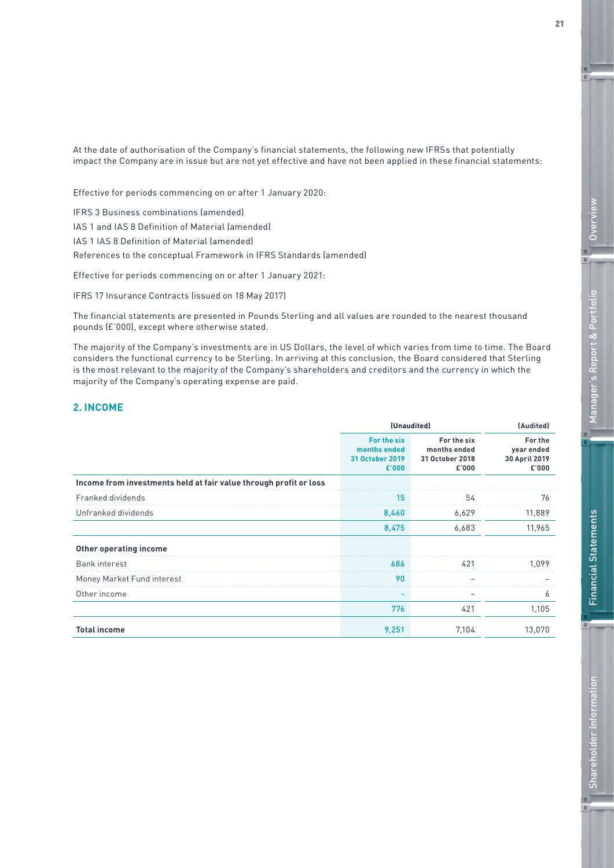At the date of authorisation of the Company's financial statements, the following new IFRSs that potentially impact the Company are in issue but are not yet effective and have not been applied in these financial statements:

Effective for periods commencing on or after 1 January 2020:

IFRS 3 Business combinations (amended) IAS 1 and IAS 8 Definition of Material (amended) IAS 1 IAS 8 Definition of Material (amended) References to the conceptual Framework in IFRS Standards (amended)

Effective for periods commencing on or after 1 January 2021:

IFRS 17 Insurance Contracts (issued on 18 May 2017)

The financial statements are presented in Pounds Sterling and all values are rounded to the nearest thousand pounds (£'000), except where otherwise stated.

The majority of the Company's investments are in US Dollars, the level of which varies from time to time. The Board considers the functional currency to be Sterling. In arriving at this conclusion, the Board considered that Sterling is the most relevant to the majority of the Company's shareholders and creditors and the currency in which the majority of the Company's operating expense are paid.

# **2. INCOME**

|                                                                   | (Unaudited)                                             |                                                         | (Audited)                                       |  |
|-------------------------------------------------------------------|---------------------------------------------------------|---------------------------------------------------------|-------------------------------------------------|--|
|                                                                   | For the six<br>months ended<br>31 October 2019<br>£'000 | For the six<br>months ended<br>31 October 2018<br>£'000 | For the<br>year ended<br>30 April 2019<br>£'000 |  |
| Income from investments held at fair value through profit or loss |                                                         |                                                         |                                                 |  |
| Franked dividends                                                 | 15                                                      | 54                                                      | 76                                              |  |
| Unfranked dividends                                               | 8,460                                                   | 6,629                                                   | 11,889                                          |  |
|                                                                   | 8,475                                                   | 6,683                                                   | 11,965                                          |  |
| Other operating income                                            |                                                         |                                                         |                                                 |  |
| <b>Bank interest</b>                                              | 686                                                     | 421                                                     | 1 0 9 9                                         |  |
| Money Market Fund interest                                        | 90                                                      |                                                         |                                                 |  |
| Other income                                                      |                                                         |                                                         |                                                 |  |
|                                                                   | 776                                                     | 421                                                     | 1,105                                           |  |
| <b>Total income</b>                                               | 9,251                                                   | 7,104                                                   | 13,070                                          |  |

**21**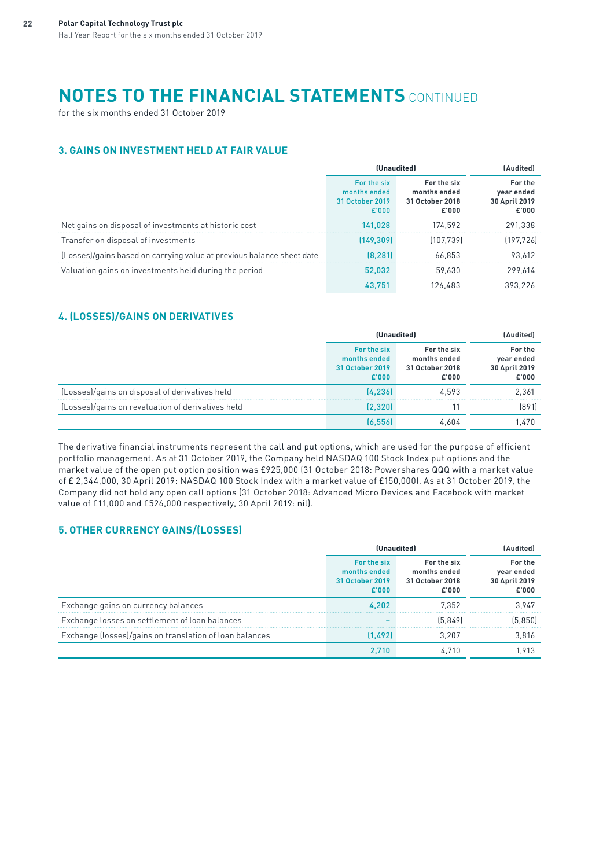# **NOTES TO THE FINANCIAL STATEMENTS** CONTINUED

for the six months ended 31 October 2019

# **3. GAINS ON INVESTMENT HELD AT FAIR VALUE**

|                                                                       | (Unaudited)                                             |                                                         | (Audited)                                       |  |
|-----------------------------------------------------------------------|---------------------------------------------------------|---------------------------------------------------------|-------------------------------------------------|--|
|                                                                       | For the six<br>months ended<br>31 October 2019<br>£'000 | For the six<br>months ended<br>31 October 2018<br>£'000 | For the<br>year ended<br>30 April 2019<br>£'000 |  |
| Net gains on disposal of investments at historic cost                 | 141.028                                                 | 174.592                                                 | 291.338                                         |  |
| Transfer on disposal of investments                                   | [149.309]                                               | [107.739]                                               | [197.726]                                       |  |
| (Losses)/gains based on carrying value at previous balance sheet date | (8.281)                                                 | 66.853                                                  | 93.612                                          |  |
| Valuation gains on investments held during the period                 | 52.032                                                  | 59.630                                                  | 299.614                                         |  |
|                                                                       | 43.751                                                  | 126.483                                                 | 393.226                                         |  |

# **4. (LOSSES)/GAINS ON DERIVATIVES**

|                                                   | (Unaudited)                                             |                                                         | [Audited]                                       |  |
|---------------------------------------------------|---------------------------------------------------------|---------------------------------------------------------|-------------------------------------------------|--|
|                                                   | For the six<br>months ended<br>31 October 2019<br>£'000 | For the six<br>months ended<br>31 October 2018<br>£'000 | For the<br>year ended<br>30 April 2019<br>£'000 |  |
| (Losses)/gains on disposal of derivatives held    | [4.236]                                                 | 4.593                                                   | 2.361                                           |  |
| (Losses)/gains on revaluation of derivatives held | [2.320]                                                 |                                                         | 18911                                           |  |
|                                                   |                                                         |                                                         | .470                                            |  |

The derivative financial instruments represent the call and put options, which are used for the purpose of efficient portfolio management. As at 31 October 2019, the Company held NASDAQ 100 Stock Index put options and the market value of the open put option position was £925,000 (31 October 2018: Powershares QQQ with a market value of £ 2,344,000, 30 April 2019: NASDAQ 100 Stock Index with a market value of £150,000). As at 31 October 2019, the Company did not hold any open call options (31 October 2018: Advanced Micro Devices and Facebook with market value of £11,000 and £526,000 respectively, 30 April 2019: nil).

# **5. OTHER CURRENCY GAINS/(LOSSES)**

|                                                         | (Unaudited)                                             |                                                         | · Audited'                                      |  |
|---------------------------------------------------------|---------------------------------------------------------|---------------------------------------------------------|-------------------------------------------------|--|
|                                                         | For the six<br>months ended<br>31 October 2019<br>£'000 | For the six<br>months ended<br>31 October 2018<br>£'000 | For the<br>year ended<br>30 April 2019<br>£'000 |  |
| Exchange gains on currency balances                     | 4.202                                                   | 7.352                                                   | 3.947                                           |  |
| Exchange losses on settlement of loan balances          |                                                         | [5.849]                                                 | (5.850)                                         |  |
| Exchange (losses)/gains on translation of loan balances | (1.492)                                                 | 3 207                                                   | 3.816                                           |  |
|                                                         |                                                         |                                                         |                                                 |  |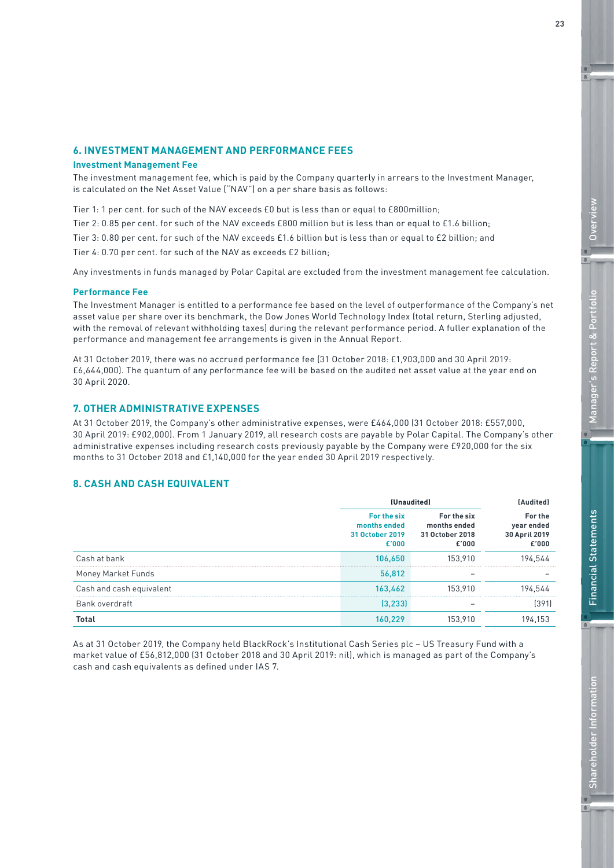# **6. INVESTMENT MANAGEMENT AND PERFORMANCE FEES**

#### **Investment Management Fee**

The investment management fee, which is paid by the Company quarterly in arrears to the Investment Manager, is calculated on the Net Asset Value ("NAV") on a per share basis as follows:

Tier 1: 1 per cent. for such of the NAV exceeds £0 but is less than or equal to £800million;

Tier 2: 0.85 per cent. for such of the NAV exceeds £800 million but is less than or equal to £1.6 billion;

Tier 3: 0.80 per cent. for such of the NAV exceeds £1.6 billion but is less than or equal to £2 billion; and

Tier 4: 0.70 per cent. for such of the NAV as exceeds £2 billion;

Any investments in funds managed by Polar Capital are excluded from the investment management fee calculation.

#### **Performance Fee**

The Investment Manager is entitled to a performance fee based on the level of outperformance of the Company's net asset value per share over its benchmark, the Dow Jones World Technology Index (total return, Sterling adjusted, with the removal of relevant withholding taxes) during the relevant performance period. A fuller explanation of the performance and management fee arrangements is given in the Annual Report.

At 31 October 2019, there was no accrued performance fee (31 October 2018: £1,903,000 and 30 April 2019: £6,644,000). The quantum of any performance fee will be based on the audited net asset value at the year end on 30 April 2020.

### **7. OTHER ADMINISTRATIVE EXPENSES**

At 31 October 2019, the Company's other administrative expenses, were £464,000 (31 October 2018: £557,000, 30 April 2019: £902,000). From 1 January 2019, all research costs are payable by Polar Capital. The Company's other administrative expenses including research costs previously payable by the Company were £920,000 for the six months to 31 October 2018 and £1,140,000 for the year ended 30 April 2019 respectively.

## **8. CASH AND CASH EQUIVALENT**

|                          | (Unaudited)                                             |                                                         | [Audited]                                       |
|--------------------------|---------------------------------------------------------|---------------------------------------------------------|-------------------------------------------------|
|                          | For the six<br>months ended<br>31 October 2019<br>£'000 | For the six<br>months ended<br>31 October 2018<br>£'000 | For the<br>year ended<br>30 April 2019<br>£'000 |
| Cash at bank             | 106,650                                                 | 153.910                                                 | 194.544                                         |
| Money Market Funds       | 56,812                                                  |                                                         |                                                 |
| Cash and cash equivalent | 163,462                                                 | 153.910                                                 | 194.544                                         |
| Bank overdraft           | (3.233)                                                 |                                                         | (391)                                           |
| <b>Total</b>             | 160.229                                                 | 153.910                                                 | 194,153                                         |

As at 31 October 2019, the Company held BlackRock's Institutional Cash Series plc – US Treasury Fund with a market value of £56,812,000 (31 October 2018 and 30 April 2019: nil), which is managed as part of the Company's cash and cash equivalents as defined under IAS 7.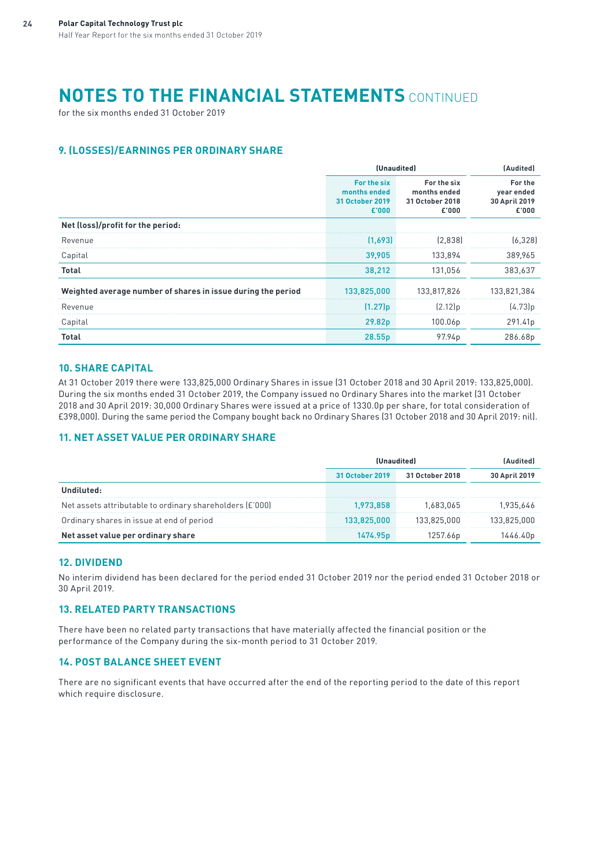# **NOTES TO THE FINANCIAL STATEMENTS** CONTINUED

for the six months ended 31 October 2019

# **9. (LOSSES)/EARNINGS PER ORDINARY SHARE**

|                                                              | (Unaudited)                                             |                                                         | (Audited)                                       |
|--------------------------------------------------------------|---------------------------------------------------------|---------------------------------------------------------|-------------------------------------------------|
|                                                              | For the six<br>months ended<br>31 October 2019<br>£'000 | For the six<br>months ended<br>31 October 2018<br>£'000 | For the<br>year ended<br>30 April 2019<br>£'000 |
| Net (loss)/profit for the period:                            |                                                         |                                                         |                                                 |
| Revenue                                                      | (1.693)                                                 | [2.838]                                                 | (6.328)                                         |
| Capital                                                      | 39.905                                                  | 133,894                                                 | 389.965                                         |
| Total                                                        | 38,212                                                  | 131,056                                                 | 383,637                                         |
| Weighted average number of shares in issue during the period | 133,825,000                                             | 133.817.826                                             | 133.821.384                                     |
| Revenue                                                      | $(1.27)$ p                                              | $(2.12)$ p                                              | (4.73)p                                         |
| Capital                                                      | 29.82p                                                  | 100.06p                                                 | 291.41p                                         |
| <b>Total</b>                                                 | 28.55p                                                  | 97.94p                                                  | 286.68p                                         |

## **10. SHARE CAPITAL**

At 31 October 2019 there were 133,825,000 Ordinary Shares in issue (31 October 2018 and 30 April 2019: 133,825,000). During the six months ended 31 October 2019, the Company issued no Ordinary Shares into the market (31 October 2018 and 30 April 2019: 30,000 Ordinary Shares were issued at a price of 1330.0p per share, for total consideration of £398,000). During the same period the Company bought back no Ordinary Shares (31 October 2018 and 30 April 2019: nil).

# **11. NET ASSET VALUE PER ORDINARY SHARE**

|                                                          | 31 October 2019 | 31 October 2018 | 30 April 2019 |
|----------------------------------------------------------|-----------------|-----------------|---------------|
|                                                          |                 |                 |               |
| Net assets attributable to ordinary shareholders (£'000) | 973.858         | 683 065         |               |
| Ordinary shares in issue at end of period                | 33.825.000      | 33.825.000      | 33 825 000    |
| Net asset value per ordinary share                       |                 | 257.66D         |               |

## **12. DIVIDEND**

No interim dividend has been declared for the period ended 31 October 2019 nor the period ended 31 October 2018 or 30 April 2019.

# **13. RELATED PARTY TRANSACTIONS**

There have been no related party transactions that have materially affected the financial position or the performance of the Company during the six-month period to 31 October 2019.

## **14. POST BALANCE SHEET EVENT**

There are no significant events that have occurred after the end of the reporting period to the date of this report which require disclosure.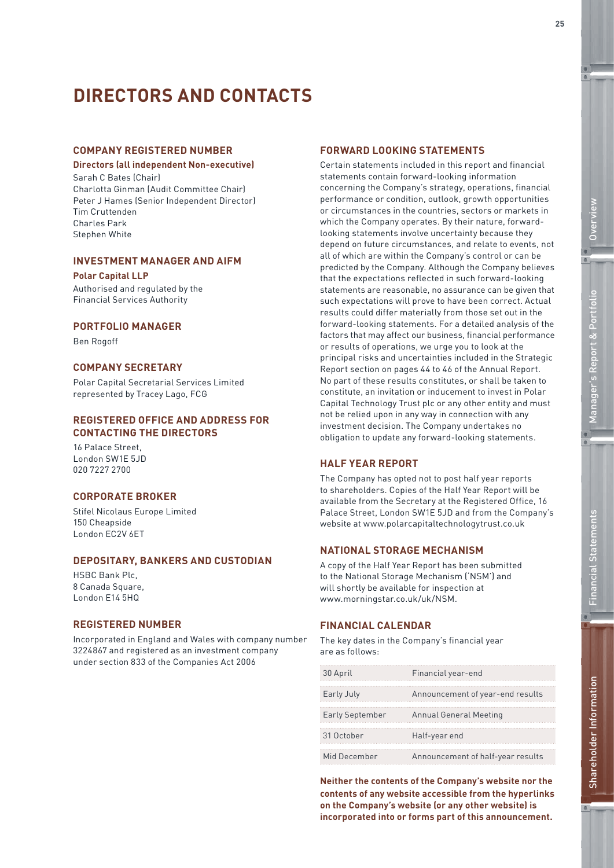# **DIRECTORS AND CONTACTS**

### **COMPANY REGISTERED NUMBER**

### **Directors (all independent Non-executive)**

Sarah C Bates (Chair) Charlotta Ginman (Audit Committee Chair) Peter J Hames (Senior Independent Director) Tim Cruttenden Charles Park Stephen White

## **INVESTMENT MANAGER AND AIFM**

### **Polar Capital LLP**

Authorised and regulated by the Financial Services Authority

### **PORTFOLIO MANAGER**

Ben Rogoff

# **COMPANY SECRETARY**

Polar Capital Secretarial Services Limited represented by Tracey Lago, FCG

### **REGISTERED OFFICE AND ADDRESS FOR CONTACTING THE DIRECTORS**

16 Palace Street, London SW1E 5JD 020 7227 2700

### **CORPORATE BROKER**

Stifel Nicolaus Europe Limited 150 Cheapside London EC2V 6ET

### **DEPOSITARY, BANKERS AND CUSTODIAN**

HSBC Bank Plc, 8 Canada Square, London E14 5HQ

### **REGISTERED NUMBER**

Incorporated in England and Wales with company number 3224867 and registered as an investment company under section 833 of the Companies Act 2006

### **FORWARD LOOKING STATEMENTS**

Certain statements included in this report and financial statements contain forward-looking information concerning the Company's strategy, operations, financial performance or condition, outlook, growth opportunities or circumstances in the countries, sectors or markets in which the Company operates. By their nature, forwardlooking statements involve uncertainty because they depend on future circumstances, and relate to events, not all of which are within the Company's control or can be predicted by the Company. Although the Company believes that the expectations reflected in such forward-looking statements are reasonable, no assurance can be given that such expectations will prove to have been correct. Actual results could differ materially from those set out in the forward-looking statements. For a detailed analysis of the factors that may affect our business, financial performance or results of operations, we urge you to look at the principal risks and uncertainties included in the Strategic Report section on pages 44 to 46 of the Annual Report. No part of these results constitutes, or shall be taken to constitute, an invitation or inducement to invest in Polar Capital Technology Trust plc or any other entity and must not be relied upon in any way in connection with any investment decision. The Company undertakes no obligation to update any forward-looking statements.

### **HALF YEAR REPORT**

The Company has opted not to post half year reports to shareholders. Copies of the Half Year Report will be available from the Secretary at the Registered Office, 16 Palace Street, London SW1E 5JD and from the Company's website at www.polarcapitaltechnologytrust.co.uk

### **NATIONAL STORAGE MECHANISM**

A copy of the Half Year Report has been submitted to the National Storage Mechanism ('NSM') and will shortly be available for inspection at www.morningstar.co.uk/uk/NSM.

## **FINANCIAL CALENDAR**

The key dates in the Company's financial year are as follows:

| 30 April               | Financial year-end                |
|------------------------|-----------------------------------|
| Early July             | Announcement of year-end results  |
| <b>Early September</b> | Annual General Meeting            |
| 31 October             | Half-year end                     |
| Mid December           | Announcement of half-year results |

**Neither the contents of the Company's website nor the contents of any website accessible from the hyperlinks on the Company's website (or any other website) is incorporated into or forms part of this announcement.**